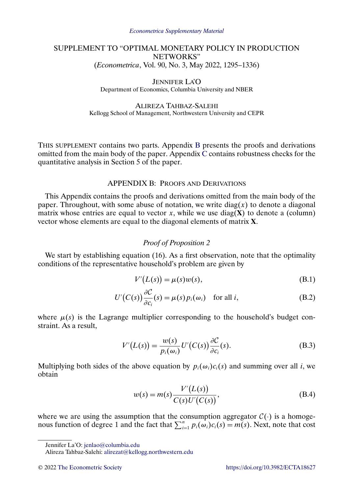### <span id="page-0-0"></span>SUPPLEMENT TO "OPTIMAL MONETARY POLICY IN PRODUCTION NETWORKS" (*Econometrica*, Vol. 90, No. 3, May 2022, 1295–1336)

JENNIFER LA'O Department of Economics, Columbia University and NBER

ALIREZA TAHBAZ-SALEHI Kellogg School of Management, Northwestern University and CEPR

THIS SUPPLEMENT contains two parts. Appendix B presents the proofs and derivations omitted from the main body of the paper. Appendix [C](#page-22-0) contains robustness checks for the quantitative analysis in Section 5 of the paper.

### APPENDIX B: PROOFS AND DERIVATIONS

This Appendix contains the proofs and derivations omitted from the main body of the paper. Throughout, with some abuse of notation, we write  $diag(x)$  to denote a diagonal matrix whose entries are equal to vector x, while we use  $diag(\mathbf{X})$  to denote a (column) vector whose elements are equal to the diagonal elements of matrix **X**.

# *Proof of Proposition 2*

We start by establishing equation (16). As a first observation, note that the optimality conditions of the representative household's problem are given by

$$
V'(L(s)) = \mu(s)w(s),
$$
\n(B.1)

$$
U'(C(s))\frac{\partial C}{\partial c_i}(s) = \mu(s)p_i(\omega_i) \quad \text{for all } i,
$$
 (B.2)

where  $\mu(s)$  is the Lagrange multiplier corresponding to the household's budget constraint. As a result,

$$
V'(L(s)) = \frac{w(s)}{p_i(\omega_i)} U'(C(s)) \frac{\partial C}{\partial c_i}(s).
$$
 (B.3)

Multiplying both sides of the above equation by  $p_i(\omega_i)c_i(s)$  and summing over all i, we obtain

$$
w(s) = m(s) \frac{V'(L(s))}{C(s)U'(C(s))},
$$
\n(B.4)

where we are using the assumption that the consumption aggregator  $C(\cdot)$  is a homogenous function of degree 1 and the fact that  $\sum_{i=1}^{n} p_i(\omega_i)c_i(s) = m(s)$ . Next, note that cost

Jennifer La'O: [jenlao@columbia.edu](mailto:jenlao@columbia.edu)

Alireza Tahbaz-Salehi: [alirezat@kellogg.northwestern.edu](mailto:alirezat@kellogg.northwestern.edu)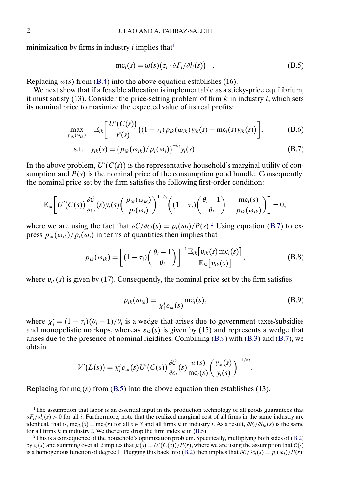<span id="page-1-0"></span>minimization by firms in industry *i* implies that<sup>1</sup>

$$
mc_i(s) = w(s) (z_i \cdot \partial F_i / \partial l_i(s))^{-1}.
$$
 (B.5)

Replacing  $w(s)$  from [\(B.4\)](#page-0-0) into the above equation establishes (16).

We next show that if a feasible allocation is implementable as a sticky-price equilibrium, it must satisfy (13). Consider the price-setting problem of firm  $k$  in industry  $i$ , which sets its nominal price to maximize the expected value of its real profits:

$$
\max_{p_{ik}(\omega_{ik})} \mathbb{E}_{ik} \left[ \frac{U'(C(s))}{P(s)} \big( (1-\tau_i) p_{ik}(\omega_{ik}) y_{ik}(s) - \text{mc}_i(s) y_{ik}(s) \big) \right], \tag{B.6}
$$

$$
\text{s.t.} \quad y_{ik}(s) = \left(p_{ik}(\omega_{ik})/p_i(\omega_i)\right)^{-\theta_i} y_i(s). \tag{B.7}
$$

In the above problem,  $U'(C(s))$  is the representative household's marginal utility of consumption and  $P(s)$  is the nominal price of the consumption good bundle. Consequently, the nominal price set by the firm satisfies the following first-order condition:

$$
\mathbb{E}_{ik}\bigg[U'(C(s))\frac{\partial C}{\partial c_i}(s)y_i(s)\bigg(\frac{p_{ik}(\omega_{ik})}{p_i(\omega_i)}\bigg)^{1-\theta_i}\bigg((1-\tau_i)\bigg(\frac{\theta_i-1}{\theta_i}\bigg)-\frac{mc_i(s)}{p_{ik}(\omega_{ik})}\bigg)\bigg]=0,
$$

where we are using the fact that  $\partial \mathcal{C}/\partial c_i(s) = p_i(\omega_i)/P(s)$ .<sup>2</sup> Using equation (B.7) to express  $p_{ik}(\omega_{ik})/p_i(\omega_i)$  in terms of quantities then implies that

$$
p_{ik}(\omega_{ik}) = \left[ (1 - \tau_i) \left( \frac{\theta_i - 1}{\theta_i} \right) \right]^{-1} \frac{\mathbb{E}_{ik} [v_{ik}(s) \operatorname{mc}_i(s)]}{\mathbb{E}_{ik} [v_{ik}(s)]},
$$
(B.8)

where  $v_{ik}(s)$  is given by (17). Consequently, the nominal price set by the firm satisfies

$$
p_{ik}(\omega_{ik}) = \frac{1}{\chi_i^s \varepsilon_{ik}(s)} \text{mc}_i(s), \tag{B.9}
$$

where  $\chi_i^s = (1 - \tau_i)(\theta_i - 1)/\theta_i$  is a wedge that arises due to government taxes/subsidies and monopolistic markups, whereas  $\varepsilon_{ik}(s)$  is given by (15) and represents a wedge that arises due to the presence of nominal rigidities. Combining (B.9) with [\(B.3\)](#page-0-0) and (B.7), we obtain

$$
V'(L(s)) = \chi_i^s \varepsilon_{ik}(s) U'(C(s)) \frac{\partial C}{\partial c_i}(s) \frac{w(s)}{\operatorname{mc}_i(s)} \left(\frac{y_{ik}(s)}{y_i(s)}\right)^{-1/\theta_i}.
$$

Replacing for mc<sub>i</sub>(s) from (B.5) into the above equation then establishes (13).

<sup>&</sup>lt;sup>1</sup>The assumption that labor is an essential input in the production technology of all goods guarantees that  $\partial F_i/\partial l_i(s) > 0$  for all i. Furthermore, note that the realized marginal cost of all firms in the same industry are identical, that is, mc<sub>ik</sub>(s) = mc<sub>i</sub>(s) for all s ∈ S and all firms k in industry i. As a result,  $\partial F_i/\partial I_{ik}(s)$  is the same for all firms  $k$  in industry  $i$ . We therefore drop the firm index  $k$  in (B.5).

<sup>2</sup>This is a consequence of the household's optimization problem. Specifically, multiplying both sides of [\(B.2\)](#page-0-0) by  $c_i(s)$  and summing over all i implies that  $\mu(s) = U'(C(s))/P(s)$ , where we are using the assumption that  $C(\cdot)$ is a homogenous function of degree 1. Plugging this back into [\(B.2\)](#page-0-0) then implies that  $\partial \mathcal{C}/\partial c_i(s) = p_i(\omega_i)/P(s)$ .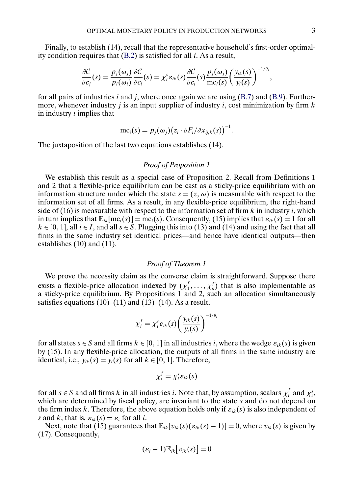Finally, to establish (14), recall that the representative household's first-order optimality condition requires that [\(B.2\)](#page-0-0) is satisfied for all i. As a result,

$$
\frac{\partial C}{\partial c_j}(s) = \frac{p_j(\omega_j)}{p_i(\omega_i)} \frac{\partial C}{\partial c_i}(s) = \chi_i^s \varepsilon_{ik}(s) \frac{\partial C}{\partial c_i}(s) \frac{p_j(\omega_j)}{\operatorname{mc}_i(s)} \left(\frac{y_{ik}(s)}{y_i(s)}\right)^{-1/\theta_i},
$$

for all pairs of industries i and j, where once again we are using  $(B.7)$  and  $(B.9)$ . Furthermore, whenever industry *i* is an input supplier of industry *i*, cost minimization by firm  $k$ in industry  $i$  implies that

$$
mc_i(s) = p_j(\omega_j) (z_i \cdot \partial F_i / \partial x_{ij,k}(s))^{-1}.
$$

The juxtaposition of the last two equations establishes (14).

### *Proof of Proposition 1*

We establish this result as a special case of Proposition 2. Recall from Definitions 1 and 2 that a flexible-price equilibrium can be cast as a sticky-price equilibrium with an information structure under which the state  $s = (z, \omega)$  is measurable with respect to the information set of all firms. As a result, in any flexible-price equilibrium, the right-hand side of (16) is measurable with respect to the information set of firm  $k$  in industry i, which in turn implies that  $\mathbb{E}_{ik}[\text{mc}_i(s)] = \text{mc}_i(s)$ . Consequently, (15) implies that  $\varepsilon_{ik}(s) = 1$  for all  $k \in [0, 1]$ , all  $i \in I$ , and all  $s \in S$ . Plugging this into (13) and (14) and using the fact that all firms in the same industry set identical prices—and hence have identical outputs—then establishes (10) and (11).

#### *Proof of Theorem 1*

We prove the necessity claim as the converse claim is straightforward. Suppose there exists a flexible-price allocation indexed by  $(\chi_1^f, \ldots, \chi_n^f)$  that is also implementable as a sticky-price equilibrium. By Propositions 1 and 2, such an allocation simultaneously satisfies equations  $(10)$ – $(11)$  and  $(13)$ – $(14)$ . As a result,

$$
\chi_i^f = \chi_i^s \varepsilon_{ik}(s) \left( \frac{y_{ik}(s)}{y_i(s)} \right)^{-1/\theta_i}
$$

for all states  $s \in S$  and all firms  $k \in [0, 1]$  in all industries i, where the wedge  $\varepsilon_{ik}(s)$  is given by (15). In any flexible-price allocation, the outputs of all firms in the same industry are identical, i.e.,  $y_{ik}(s) = y_i(s)$  for all  $k \in [0, 1]$ . Therefore,

$$
\chi_i^f=\chi_i^s\epsilon_{ik}(s)
$$

for all  $s \in S$  and all firms k in all industries i. Note that, by assumption, scalars  $\chi_i^f$  and  $\chi_i^s$ , which are determined by fiscal policy, are invariant to the state  $\overline{s}$  and do not depend on the firm index k. Therefore, the above equation holds only if  $\varepsilon_{ik}(s)$  is also independent of s and k, that is,  $\varepsilon_{ik}(s) = \varepsilon_i$  for all i.

Next, note that (15) guarantees that  $\mathbb{E}_{ik}[v_{ik}(s)(\varepsilon_{ik}(s)-1)]=0$ , where  $v_{ik}(s)$  is given by (17). Consequently,

$$
(\varepsilon_i-1)\mathbb{E}_{ik}[v_{ik}(s)]=0
$$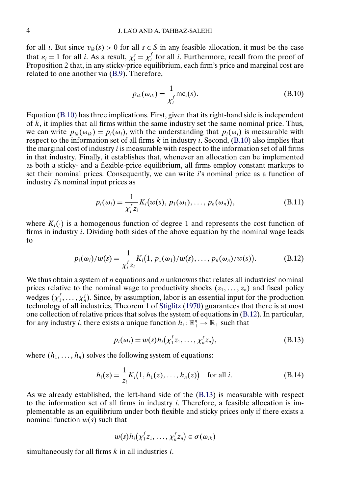<span id="page-3-0"></span>for all *i*. But since  $v_{ik}(s) > 0$  for all  $s \in S$  in any feasible allocation, it must be the case that  $\varepsilon_i = 1$  for all *i*. As a result,  $\chi_i^s = \chi_i^f$  for all *i*. Furthermore, recall from the proof of Proposition 2 that, in any sticky-price equilibrium, each firm's price and marginal cost are related to one another via [\(B.9\)](#page-1-0). Therefore,

$$
p_{ik}(\omega_{ik}) = \frac{1}{\chi_i^f} \text{mc}_i(s).
$$
 (B.10)

Equation (B.10) has three implications. First, given that its right-hand side is independent of  $k$ , it implies that all firms within the same industry set the same nominal price. Thus, we can write  $p_{ik}(\omega_{ik}) = p_i(\omega_i)$ , with the understanding that  $p_i(\omega_i)$  is measurable with respect to the information set of all firms  $k$  in industry  $i$ . Second, (B.10) also implies that the marginal cost of industry  $i$  is measurable with respect to the information set of all firms in that industry. Finally, it establishes that, whenever an allocation can be implemented as both a sticky- and a flexible-price equilibrium, all firms employ constant markups to set their nominal prices. Consequently, we can write  $i$ 's nominal price as a function of industry i's nominal input prices as

$$
p_i(\omega_i) = \frac{1}{\chi_i^f z_i} K_i(w(s), p_1(\omega_1), \dots, p_n(\omega_n)),
$$
\n(B.11)

where  $K_i(\cdot)$  is a homogenous function of degree 1 and represents the cost function of firms in industry  $i$ . Dividing both sides of the above equation by the nominal wage leads to

$$
p_i(\omega_i)/w(s) = \frac{1}{\chi_i^f z_i} K_i(1, p_1(\omega_1)/w(s), \dots, p_n(\omega_n)/w(s)).
$$
 (B.12)

We thus obtain a system of  $n$  equations and  $n$  unknowns that relates all industries' nominal prices relative to the nominal wage to productivity shocks  $(z_1, \ldots, z_n)$  and fiscal policy wedges  $(\chi_1^f, \ldots, \chi_n^f)$ . Since, by assumption, labor is an essential input for the production technology of all industries, Theorem 1 of [Stiglitz](#page-23-0) [\(1970\)](#page-23-0) guarantees that there is at most one collection of relative prices that solves the system of equations in (B.12). In particular, for any industry *i*, there exists a unique function  $h_i : \mathbb{R}^n_+ \to \mathbb{R}_+$  such that

$$
p_i(\omega_i) = w(s)h_i(\chi_1^f z_1, \ldots, \chi_n^f z_n), \qquad (B.13)
$$

where  $(h_1, \ldots, h_n)$  solves the following system of equations:

$$
h_i(z) = \frac{1}{z_i} K_i(1, h_1(z), \dots, h_n(z)) \text{ for all } i.
$$
 (B.14)

As we already established, the left-hand side of the (B.13) is measurable with respect to the information set of all firms in industry  $i$ . Therefore, a feasible allocation is implementable as an equilibrium under both flexible and sticky prices only if there exists a nominal function  $w(s)$  such that

$$
w(s)h_i(\chi_1^f z_1,\ldots,\chi_n^f z_n)\in\sigma(\omega_{ik})
$$

simultaneously for all firms  $k$  in all industries  $i$ .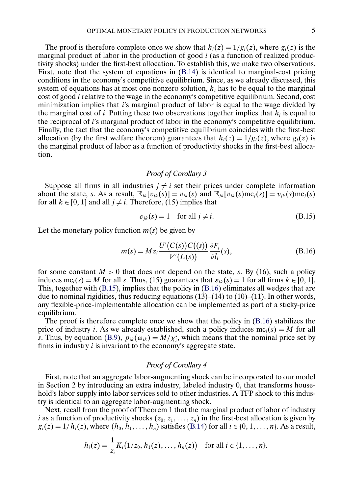The proof is therefore complete once we show that  $h_i(z) = 1/g_i(z)$ , where  $g_i(z)$  is the marginal product of labor in the production of good  $i$  (as a function of realized productivity shocks) under the first-best allocation. To establish this, we make two observations. First, note that the system of equations in [\(B.14\)](#page-3-0) is identical to marginal-cost pricing conditions in the economy's competitive equilibrium. Since, as we already discussed, this system of equations has at most one nonzero solution,  $h_i$  has to be equal to the marginal cost of good i relative to the wage in the economy's competitive equilibrium. Second, cost minimization implies that  $i$ 's marginal product of labor is equal to the wage divided by the marginal cost of i. Putting these two observations together implies that  $h_i$  is equal to the reciprocal of i's marginal product of labor in the economy's competitive equilibrium. Finally, the fact that the economy's competitive equilibrium coincides with the first-best allocation (by the first welfare theorem) guarantees that  $h_i(z) = 1/g_i(z)$ , where  $g_i(z)$  is the marginal product of labor as a function of productivity shocks in the first-best allocation.

### *Proof of Corollary 3*

Suppose all firms in all industries  $j \neq i$  set their prices under complete information about the state, s. As a result,  $\mathbb{E}_{ik}[v_{ik}(s)] = v_{ik}(s)$  and  $\mathbb{E}_{ik}[v_{ik}(s)mc_{i}(s)] = v_{ik}(s)mc_{i}(s)$ for all  $k \in [0, 1]$  and all  $j \neq i$ . Therefore, (15) implies that

$$
\varepsilon_{jk}(s) = 1 \quad \text{for all } j \neq i. \tag{B.15}
$$

Let the monetary policy function  $m(s)$  be given by

$$
m(s) = Mz_i \frac{U'(C(s))C((s))}{V'(L(s))} \frac{\partial F_i}{\partial l_i}(s),
$$
\n(B.16)

for some constant  $M > 0$  that does not depend on the state, s. By (16), such a policy induces mc<sub>i</sub>(s) = M for all s. Thus, (15) guarantees that  $\varepsilon_{ik}(s) = 1$  for all firms  $k \in [0, 1]$ . This, together with (B.15), implies that the policy in (B.16) eliminates all wedges that are due to nominal rigidities, thus reducing equations  $(13)$ – $(14)$  to  $(10)$ – $(11)$ . In other words, any flexible-price-implementable allocation can be implemented as part of a sticky-price equilibrium.

The proof is therefore complete once we show that the policy in (B.16) stabilizes the price of industry *i*. As we already established, such a policy induces  $mc_i(s) = M$  for all s. Thus, by equation [\(B.9\)](#page-1-0),  $p_{ik}(\omega_{ik}) = M/\chi_i^s$ , which means that the nominal price set by firms in industry  $i$  is invariant to the economy's aggregate state.

#### *Proof of Corollary 4*

First, note that an aggregate labor-augmenting shock can be incorporated to our model in Section 2 by introducing an extra industry, labeled industry 0, that transforms household's labor supply into labor services sold to other industries. A TFP shock to this industry is identical to an aggregate labor-augmenting shock.

Next, recall from the proof of Theorem 1 that the marginal product of labor of industry *i* as a function of productivity shocks  $(z_0, z_1, \ldots, z_n)$  in the first-best allocation is given by  $g_i(z) = 1/h_i(z)$ , where  $(h_0, h_1, ..., h_n)$  satisfies [\(B.14\)](#page-3-0) for all  $i \in \{0, 1, ..., n\}$ . As a result,

$$
h_i(z) = \frac{1}{z_i} K_i(1/z_0, h_1(z), \ldots, h_n(z)) \text{ for all } i \in \{1, \ldots, n\}.
$$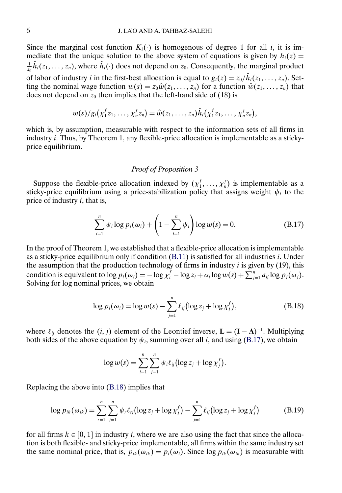<span id="page-5-0"></span>Since the marginal cost function  $K_i(\cdot)$  is homogenous of degree 1 for all *i*, it is immediate that the unique solution to the above system of equations is given by  $h_i(z) =$  $\frac{1}{z_0}h_i(z_1,\ldots,z_n)$ , where  $h_i(\cdot)$  does not depend on  $z_0$ . Consequently, the marginal product of labor of industry *i* in the first-best allocation is equal to  $g_i(z) = z_0/h_i(z_1,..., z_n)$ . Setting the nominal wage function  $w(s) = z_0 \hat{w}(z_1, \dots, z_n)$  for a function  $\hat{w}(z_1, \dots, z_n)$  that does not depend on  $z_0$  then implies that the left-hand side of (18) is

$$
w(s)/g_i(\chi_1^f z_1,\ldots,\chi_n^f z_n)=\hat{w}(z_1,\ldots,z_n)\hat{h}_i(\chi_1^f z_1,\ldots,\chi_n^f z_n),
$$

which is, by assumption, measurable with respect to the information sets of all firms in industry i. Thus, by Theorem 1, any flexible-price allocation is implementable as a stickyprice equilibrium.

### *Proof of Proposition 3*

Suppose the flexible-price allocation indexed by  $(\chi_1^f, \ldots, \chi_n^f)$  is implementable as a sticky-price equilibrium using a price-stabilization policy that assigns weight  $\psi_i$  to the price of industry  $i$ , that is,

$$
\sum_{i=1}^{n} \psi_i \log p_i(\omega_i) + \left(1 - \sum_{i=1}^{n} \psi_i\right) \log w(s) = 0.
$$
 (B.17)

In the proof of Theorem 1, we established that a flexible-price allocation is implementable as a sticky-price equilibrium only if condition [\(B.11\)](#page-3-0) is satisfied for all industries i. Under the assumption that the production technology of firms in industry  $i$  is given by (19), this condition is equivalent to  $\log p_i(\omega_i) = -\log \chi_i^f - \log z_i + \alpha_i \log w(s) + \sum_{j=1}^n a_{ij} \log p_j(\omega_j)$ . Solving for log nominal prices, we obtain

$$
\log p_i(\omega_i) = \log w(s) - \sum_{j=1}^n \ell_{ij} (\log z_j + \log \chi_j^f), \tag{B.18}
$$

where  $\ell_{ij}$  denotes the  $(i, j)$  element of the Leontief inverse,  $\mathbf{L} = (\mathbf{I} - \mathbf{A})^{-1}$ . Multiplying both sides of the above equation by  $\psi_i$ , summing over all i, and using (B.17), we obtain

$$
\log w(s) = \sum_{i=1}^n \sum_{j=1}^n \psi_i \ell_{ij} (\log z_j + \log \chi_j^f).
$$

Replacing the above into (B.18) implies that

$$
\log p_{ik}(\omega_{ik}) = \sum_{r=1}^{n} \sum_{j=1}^{n} \psi_r \ell_{rj} (\log z_j + \log \chi_j^f) - \sum_{j=1}^{n} \ell_{ij} (\log z_j + \log \chi_j^f)
$$
(B.19)

for all firms  $k \in [0, 1]$  in industry *i*, where we are also using the fact that since the allocation is both flexible- and sticky-price implementable, all firms within the same industry set the same nominal price, that is,  $p_{ik}(\omega_{ik}) = p_i(\omega_i)$ . Since  $\log p_{ik}(\omega_{ik})$  is measurable with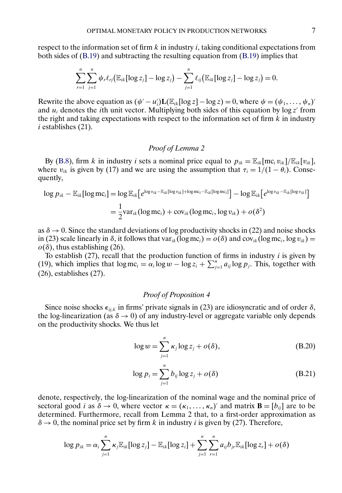<span id="page-6-0"></span>respect to the information set of firm  $k$  in industry  $i$ , taking conditional expectations from both sides of [\(B.19\)](#page-5-0) and subtracting the resulting equation from [\(B.19\)](#page-5-0) implies that

$$
\sum_{r=1}^n \sum_{j=1}^n \psi_r \ell_{rj} (\mathbb{E}_{ik} [\log z_j] - \log z_j) - \sum_{j=1}^n \ell_{ij} (\mathbb{E}_{ik} [\log z_j] - \log z_j) = 0.
$$

Rewrite the above equation as  $(\psi' - u_i')\mathbf{L}(\mathbb{E}_{ik}[\log z] - \log z) = 0$ , where  $\psi = (\psi_1, \dots, \psi_n)'$ and  $u_i$  denotes the *i*th unit vector. Multiplying both sides of this equation by  $\log z'$  from the right and taking expectations with respect to the information set of firm  $k$  in industry  $i$  establishes  $(21)$ .

#### *Proof of Lemma 2*

By [\(B.8\)](#page-1-0), firm k in industry i sets a nominal price equal to  $p_{ik} = \mathbb{E}_{ik} [\text{mc}_i v_{ik}] / \mathbb{E}_{ik} [v_{ik}],$ where  $v_{ik}$  is given by (17) and we are using the assumption that  $\tau_i = 1/(1 - \theta_i)$ . Consequently,

$$
\log p_{ik} - \mathbb{E}_{ik}[\log \text{mc}_i] = \log \mathbb{E}_{ik} \big[ e^{\log v_{ik} - \mathbb{E}_{ik}[\log v_{ik}] + \log \text{mc}_i - \mathbb{E}_{ik}[\log \text{mc}_i]} \big] - \log \mathbb{E}_{ik} \big[ e^{\log v_{ik} - \mathbb{E}_{ik}[\log v_{ik}]} \big]
$$
  
=  $\frac{1}{2} \text{var}_{ik} (\log \text{mc}_i) + \text{cov}_{ik} (\log \text{mc}_i, \log v_{ik}) + o(\delta^2)$ 

as  $\delta \rightarrow 0$ . Since the standard deviations of log productivity shocks in (22) and noise shocks in (23) scale linearly in  $\delta$ , it follows that var<sub>ik</sub>(log mc<sub>i</sub>) =  $o(\delta)$  and cov<sub>ik</sub>(log mc<sub>i</sub>, log v<sub>ik</sub>) =  $o(\delta)$ , thus establishing (26).

To establish  $(27)$ , recall that the production function of firms in industry *i* is given by (19), which implies that  $\log mc_i = \alpha_i \log w - \log z_i + \sum_{j=1}^n a_{ij} \log p_j$ . This, together with (26), establishes (27).

### *Proof of Proposition 4*

Since noise shocks  $\epsilon_{ijk}$  in firms' private signals in (23) are idiosyncratic and of order  $\delta$ , the log-linearization (as  $\delta \rightarrow 0$ ) of any industry-level or aggregate variable only depends on the productivity shocks. We thus let

$$
\log w = \sum_{j=1}^{n} \kappa_j \log z_j + o(\delta), \tag{B.20}
$$

$$
\log p_i = \sum_{j=1}^n b_{ij} \log z_j + o(\delta)
$$
 (B.21)

denote, respectively, the log-linearization of the nominal wage and the nominal price of sectoral good *i* as  $\delta \to 0$ , where vector  $\kappa = (\kappa_1, ..., \kappa_n)'$  and matrix  $\mathbf{B} = [b_{ij}]$  are to be determined. Furthermore, recall from Lemma 2 that, to a first-order approximation as  $\delta \rightarrow 0$ , the nominal price set by firm k in industry i is given by (27). Therefore,

$$
\log p_{ik} = \alpha_i \sum_{j=1}^n \kappa_j \mathbb{E}_{ik} [\log z_j] - \mathbb{E}_{ik} [\log z_i] + \sum_{j=1}^n \sum_{r=1}^n a_{ij} b_{jr} \mathbb{E}_{ik} [\log z_r] + o(\delta)
$$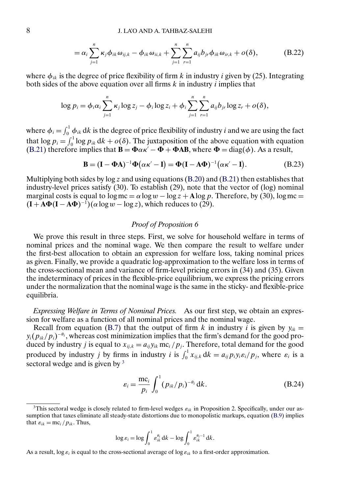$$
= \alpha_i \sum_{j=1}^n \kappa_j \phi_{ik} \omega_{ij,k} - \phi_{ik} \omega_{ii,k} + \sum_{j=1}^n \sum_{r=1}^n a_{ij} b_{jr} \phi_{ik} \omega_{ir,k} + o(\delta), \qquad (B.22)
$$

<span id="page-7-0"></span>where  $\phi_{ik}$  is the degree of price flexibility of firm k in industry i given by (25). Integrating both sides of the above equation over all firms  $k$  in industry  $i$  implies that

$$
\log p_i = \phi_i \alpha_i \sum_{j=1}^n \kappa_j \log z_j - \phi_i \log z_i + \phi_i \sum_{j=1}^n \sum_{r=1}^n a_{ij} b_{jr} \log z_r + o(\delta),
$$

where  $\phi_i = \int_0^1 \phi_{ik} \, dk$  is the degree of price flexibility of industry *i* and we are using the fact that  $\log p_i = \int_0^1 \log p_{ik} \, dk + o(\delta)$ . The juxtaposition of the above equation with equation [\(B.21\)](#page-6-0) therefore implies that  $\mathbf{B} = \mathbf{\Phi} \alpha \kappa' - \mathbf{\Phi} + \mathbf{\Phi} \mathbf{AB}$ , where  $\mathbf{\Phi} = \text{diag}(\phi)$ . As a result,

$$
\mathbf{B} = (\mathbf{I} - \mathbf{\Phi} \mathbf{A})^{-1} \mathbf{\Phi} (\alpha \kappa' - \mathbf{I}) = \mathbf{\Phi} (\mathbf{I} - \mathbf{A} \mathbf{\Phi})^{-1} (\alpha \kappa' - \mathbf{I}). \tag{B.23}
$$

Multiplying both sides by  $\log z$  and using equations [\(B.20\)](#page-6-0) and [\(B.21\)](#page-6-0) then establishes that industry-level prices satisfy (30). To establish (29), note that the vector of (log) nominal marginal costs is equal to  $\log mc = \alpha \log w - \log z + A \log p$ . Therefore, by (30),  $\log mc =$  $(I + A\Phi(I - A\Phi)^{-1})(\alpha \log w - \log z)$ , which reduces to (29).

### *Proof of Proposition 6*

We prove this result in three steps. First, we solve for household welfare in terms of nominal prices and the nominal wage. We then compare the result to welfare under the first-best allocation to obtain an expression for welfare loss, taking nominal prices as given. Finally, we provide a quadratic log-approximation to the welfare loss in terms of the cross-sectional mean and variance of firm-level pricing errors in (34) and (35). Given the indeterminacy of prices in the flexible-price equilibrium, we express the pricing errors under the normalization that the nominal wage is the same in the sticky- and flexible-price equilibria.

*Expressing Welfare in Terms of Nominal Prices.* As our first step, we obtain an expression for welfare as a function of all nominal prices and the nominal wage.

Recall from equation [\(B.7\)](#page-1-0) that the output of firm k in industry i is given by  $y_{ik}$  =  $y_i(p_{ik}/p_i)^{-\theta_i}$ , whereas cost minimization implies that the firm's demand for the good produced by industry *j* is equal to  $x_{ij,k} = a_{ij}y_{ik}$  mc<sub>i</sub> /  $p_j$ . Therefore, total demand for the good produced by industry j by firms in industry i is  $\int_0^1 x_{ij,k} \, dk = a_{ij} p_i y_i \varepsilon_i / p_j$ , where  $\varepsilon_i$  is a sectoral wedge and is given by  $3$ 

$$
\varepsilon_i = \frac{mc_i}{p_i} \int_0^1 (p_{ik}/p_i)^{-\theta_i} dk.
$$
 (B.24)

$$
\log \varepsilon_i = \log \int_0^1 \varepsilon_{ik}^{\theta_i} dk - \log \int_0^1 \varepsilon_{ik}^{\theta_i - 1} dk.
$$

As a result, log  $\varepsilon_i$  is equal to the cross-sectional average of log  $\varepsilon_{ik}$  to a first-order approximation.

<sup>&</sup>lt;sup>3</sup>This sectoral wedge is closely related to firm-level wedges  $\varepsilon_{ik}$  in Proposition 2. Specifically, under our assumption that taxes eliminate all steady-state distortions due to monopolistic markups, equation [\(B.9\)](#page-1-0) implies that  $\varepsilon_{ik} = mc_i / p_{ik}$ . Thus,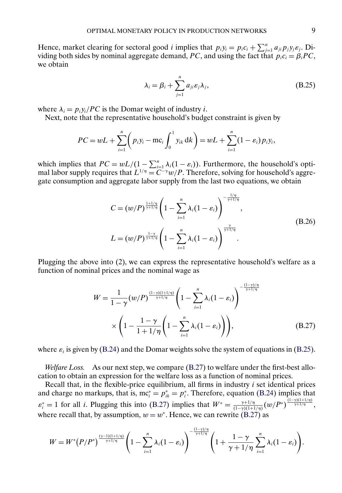<span id="page-8-0"></span>Hence, market clearing for sectoral good *i* implies that  $p_i y_i = p_i c_i + \sum_{j=1}^n a_{ji} p_j y_j \varepsilon_j$ . Dividing both sides by nominal aggregate demand, PC, and using the fact that  $p_i c_i = \beta_i PC$ , we obtain

$$
\lambda_i = \beta_i + \sum_{j=1}^n a_{ji} \varepsilon_j \lambda_j,
$$
\n(B.25)

where  $\lambda_i = p_i y_i / PC$  is the Domar weight of industry *i*.

Next, note that the representative household's budget constraint is given by

$$
PC = wL + \sum_{i=1}^{n} \left( p_i y_i - \text{mc}_i \int_0^1 y_{ik} \, \mathrm{d}k \right) = wL + \sum_{i=1}^{n} (1 - \varepsilon_i) p_i y_i,
$$

which implies that  $PC = wL/(1 - \sum_{i=1}^{n} \lambda_i(1 - \varepsilon_i))$ . Furthermore, the household's optimal labor supply requires that  $L^{1/\eta} = C^{-\gamma}w/P$ . Therefore, solving for household's aggregate consumption and aggregate labor supply from the last two equations, we obtain

$$
C = (w/P)^{\frac{1+1/\eta}{\gamma+1/\eta}} \left(1 - \sum_{i=1}^{n} \lambda_i (1 - \varepsilon_i)\right)^{-\frac{1/\eta}{\gamma+1/\eta}},
$$
  
\n
$$
L = (w/P)^{\frac{1-\gamma}{\gamma+1/\eta}} \left(1 - \sum_{i=1}^{n} \lambda_i (1 - \varepsilon_i)\right)^{\frac{\gamma}{\gamma+1/\eta}}.
$$
\n(B.26)

Plugging the above into (2), we can express the representative household's welfare as a function of nominal prices and the nominal wage as

$$
W = \frac{1}{1 - \gamma} (w/P)^{\frac{(1 - \gamma)(1 + 1/\eta)}{\gamma + 1/\eta}} \left(1 - \sum_{i=1}^{n} \lambda_i (1 - \varepsilon_i)\right)^{-\frac{(1 - \gamma)/\eta}{\gamma + 1/\eta}}
$$
  
 
$$
\times \left(1 - \frac{1 - \gamma}{1 + 1/\eta} \left(1 - \sum_{i=1}^{n} \lambda_i (1 - \varepsilon_i)\right)\right), \tag{B.27}
$$

where  $\varepsilon_i$  is given by [\(B.24\)](#page-7-0) and the Domar weights solve the system of equations in (B.25).

*Welfare Loss.* As our next step, we compare (B.27) to welfare under the first-best allocation to obtain an expression for the welfare loss as a function of nominal prices.

Recall that, in the flexible-price equilibrium, all firms in industry  $i$  set identical prices and charge no markups, that is,  $mc_i^* = p_{ik}^* = p_i^*$ . Therefore, equation [\(B.24\)](#page-7-0) implies that  $\varepsilon_i^* = 1$  for all *i*. Plugging this into (B.27) implies that  $W^* = \frac{\gamma + 1/\eta}{(1-\gamma)(1+1/\eta)} (w/P^*)^{\frac{(1-\gamma)(1+1/\eta)}{\gamma+1/\eta}}$ , where recall that, by assumption,  $w = w^*$ . Hence, we can rewrite (B.27) as

$$
W=W^*(P/P^*)^{\frac{(\gamma-1)(1+1/\eta)}{\gamma+1/\eta}}\Bigg(1-\sum_{i=1}^n\lambda_i(1-\varepsilon_i)\Bigg)^{-\frac{(1-\gamma)/\eta}{\gamma+1/\eta}}\Bigg(1+\frac{1-\gamma}{\gamma+1/\eta}\sum_{i=1}^n\lambda_i(1-\varepsilon_i)\Bigg).
$$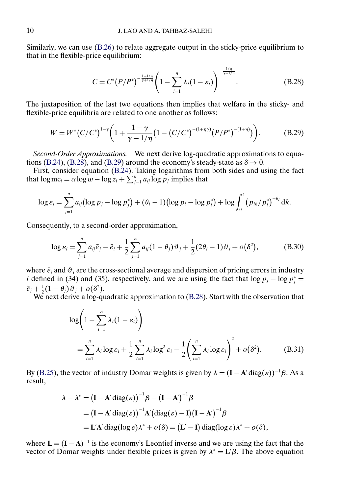<span id="page-9-0"></span>Similarly, we can use [\(B.26\)](#page-8-0) to relate aggregate output in the sticky-price equilibrium to that in the flexible-price equilibrium:

$$
C = C^{*} (P/P^{*})^{-\frac{1+1/\eta}{\gamma+1/\eta}} \left(1 - \sum_{i=1}^{n} \lambda_{i} (1 - \varepsilon_{i})\right)^{-\frac{1/\eta}{\gamma+1/\eta}}.
$$
 (B.28)

The juxtaposition of the last two equations then implies that welfare in the sticky- and flexible-price equilibria are related to one another as follows:

$$
W = W^* (C/C^*)^{1-\gamma} \bigg( 1 + \frac{1-\gamma}{\gamma+1/\eta} \big( 1 - (C/C^*)^{-(1+\eta\gamma)} (P/P^*)^{-(1+\eta)} \big) \bigg). \tag{B.29}
$$

*Second-Order Approximations.* We next derive log-quadratic approximations to equa-tions [\(B.24\)](#page-7-0), (B.28), and (B.29) around the economy's steady-state as  $\delta \rightarrow 0$ .

First, consider equation [\(B.24\)](#page-7-0). Taking logarithms from both sides and using the fact that  $\log mc_i = \alpha \log w - \log z_i + \sum_{j=1}^n a_{ij} \log p_j$  implies that

$$
\log \varepsilon_i = \sum_{j=1}^n a_{ij} (\log p_j - \log p_j^*) + (\theta_i - 1) (\log p_i - \log p_i^*) + \log \int_0^1 (p_{ik}/p_i^*)^{-\theta_i} dk.
$$

Consequently, to a second-order approximation,

$$
\log \varepsilon_i = \sum_{j=1}^n a_{ij} \bar{e}_j - \bar{e}_i + \frac{1}{2} \sum_{j=1}^n a_{ij} (1 - \theta_j) \vartheta_j + \frac{1}{2} (2\theta_i - 1) \vartheta_i + o(\delta^2),
$$
 (B.30)

where  $\bar{e}_i$  and  $\vartheta_i$  are the cross-sectional average and dispersion of pricing errors in industry *i* defined in (34) and (35), respectively, and we are using the fact that  $\log p_j - \log p_j^* =$  $\bar{e}_j + \frac{1}{2}(1-\theta_j)\vartheta_j + o(\delta^2).$ 

We next derive a log-quadratic approximation to (B.28). Start with the observation that

$$
\log\left(1 - \sum_{i=1}^{n} \lambda_i (1 - \varepsilon_i)\right)
$$
  
= 
$$
\sum_{i=1}^{n} \lambda_i \log \varepsilon_i + \frac{1}{2} \sum_{i=1}^{n} \lambda_i \log^2 \varepsilon_i - \frac{1}{2} \left(\sum_{i=1}^{n} \lambda_i \log \varepsilon_i\right)^2 + o(\delta^2).
$$
 (B.31)

By [\(B.25\)](#page-8-0), the vector of industry Domar weights is given by  $\lambda = (\mathbf{I} - \mathbf{A}' \text{diag}(\varepsilon))^{-1} \beta$ . As a result,

$$
\lambda - \lambda^* = (\mathbf{I} - \mathbf{A}' \operatorname{diag}(\varepsilon))^{-1} \beta - (\mathbf{I} - \mathbf{A}')^{-1} \beta
$$
  
=  $(\mathbf{I} - \mathbf{A}' \operatorname{diag}(\varepsilon))^{-1} \mathbf{A}' (\operatorname{diag}(\varepsilon) - \mathbf{I}) (\mathbf{I} - \mathbf{A}')^{-1} \beta$   
=  $\mathbf{L}' \mathbf{A}' \operatorname{diag}(\log \varepsilon) \lambda^* + o(\delta) = (\mathbf{L}' - \mathbf{I}) \operatorname{diag}(\log \varepsilon) \lambda^* + o(\delta),$ 

where  $L = (I - A)^{-1}$  is the economy's Leontief inverse and we are using the fact that the vector of Domar weights under flexible prices is given by  $\lambda^* = L'\beta$ . The above equation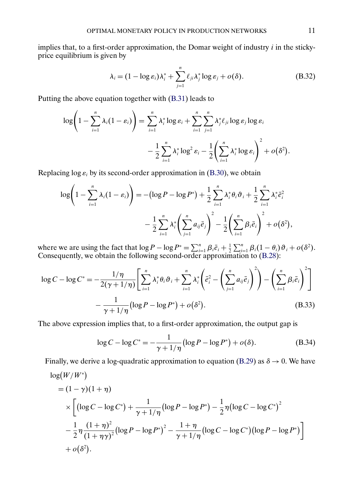<span id="page-10-0"></span>implies that, to a first-order approximation, the Domar weight of industry  $i$  in the stickyprice equilibrium is given by

$$
\lambda_i = (1 - \log \varepsilon_i) \lambda_i^* + \sum_{j=1}^n \ell_{ji} \lambda_j^* \log \varepsilon_j + o(\delta). \tag{B.32}
$$

Putting the above equation together with [\(B.31\)](#page-9-0) leads to

$$
\log\left(1-\sum_{i=1}^n\lambda_i(1-\varepsilon_i)\right)=\sum_{i=1}^n\lambda_i^*\log\varepsilon_i+\sum_{i=1}^n\sum_{j=1}^n\lambda_j^*\ell_{ji}\log\varepsilon_j\log\varepsilon_i
$$

$$
-\frac{1}{2}\sum_{i=1}^n\lambda_i^*\log^2\varepsilon_i-\frac{1}{2}\left(\sum_{i=1}^n\lambda_i^*\log\varepsilon_i\right)^2+o(\delta^2).
$$

Replacing log  $\varepsilon_i$  by its second-order approximation in [\(B.30\)](#page-9-0), we obtain

$$
\log\left(1-\sum_{i=1}^{n}\lambda_{i}(1-\varepsilon_{i})\right) = -\left(\log P - \log P^{*}\right) + \frac{1}{2}\sum_{i=1}^{n}\lambda_{i}^{*}\theta_{i}\vartheta_{i} + \frac{1}{2}\sum_{i=1}^{n}\lambda_{i}^{*}\bar{e}_{i}^{2} - \frac{1}{2}\sum_{i=1}^{n}\lambda_{i}^{*}\left(\sum_{j=1}^{n}a_{ij}\bar{e}_{j}\right)^{2} - \frac{1}{2}\left(\sum_{i=1}^{n}\beta_{i}\bar{e}_{i}\right)^{2} + o(\delta^{2}),
$$

where we are using the fact that  $\log P - \log P^* = \sum_{i=1}^n \beta_i \bar{e}_i + \frac{1}{2} \sum_{i=1}^n \beta_i (1 - \theta_i) \vartheta_i + o(\delta^2)$ . Consequently, we obtain the following second-order approximation to [\(B.28\)](#page-9-0):

$$
\log C - \log C^* = -\frac{1/\eta}{2(\gamma + 1/\eta)} \left[ \sum_{i=1}^n \lambda_i^* \theta_i \vartheta_i + \sum_{i=1}^n \lambda_i^* \left( \bar{e}_i^2 - \left( \sum_{j=1}^n a_{ij} \bar{e}_j \right)^2 \right) - \left( \sum_{i=1}^n \beta_i \bar{e}_i \right)^2 \right] - \frac{1}{\gamma + 1/\eta} (\log P - \log P^*) + o(\delta^2).
$$
\n(B.33)

The above expression implies that, to a first-order approximation, the output gap is

$$
\log C - \log C^* = -\frac{1}{\gamma + 1/\eta} \left( \log P - \log P^* \right) + o(\delta). \tag{B.34}
$$

Finally, we derive a log-quadratic approximation to equation [\(B.29\)](#page-9-0) as  $\delta \rightarrow 0$ . We have

$$
\log(W/W^*)
$$
  
=  $(1 - \gamma)(1 + \eta)$   

$$
\times \left[ (\log C - \log C^*) + \frac{1}{\gamma + 1/\eta} (\log P - \log P^*) - \frac{1}{2} \eta (\log C - \log C^*)^2 - \frac{1}{2} \eta \frac{(1 + \eta)^2}{(1 + \eta \gamma)^2} (\log P - \log P^*)^2 - \frac{1 + \eta}{\gamma + 1/\eta} (\log C - \log C^*) (\log P - \log P^*) \right] + o(\delta^2).
$$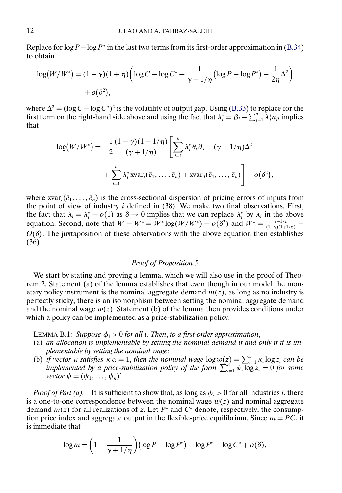<span id="page-11-0"></span>Replace for  $\log P - \log P^*$  in the last two terms from its first-order approximation in [\(B.34\)](#page-10-0) to obtain

$$
\log(W/W^*) = (1 - \gamma)(1 + \eta) \left( \log C - \log C^* + \frac{1}{\gamma + 1/\eta} \left( \log P - \log P^* \right) - \frac{1}{2\eta} \Delta^2 \right) + o(\delta^2),
$$

where  $\Delta^2 = (\log C - \log C^*)^2$  is the volatility of output gap. Using [\(B.33\)](#page-10-0) to replace for the first term on the right-hand side above and using the fact that  $\lambda_i^* = \beta_i + \sum_{j=1}^n \lambda_j^* a_{ji}$  implies that

$$
\log(W/W^*) = -\frac{1}{2} \frac{(1-\gamma)(1+1/\eta)}{(\gamma+1/\eta)} \left[ \sum_{i=1}^n \lambda_i^* \theta_i \vartheta_i + (\gamma+1/\eta) \Delta^2 + \sum_{i=1}^n \lambda_i^* \operatorname{avar}_i(\bar{e}_1, \dots, \bar{e}_n) + \operatorname{avar}_0(\bar{e}_1, \dots, \bar{e}_n) \right] + o(\delta^2),
$$

where  $xvar_i(\bar{e}_1,\ldots,\bar{e}_n)$  is the cross-sectional dispersion of pricing errors of inputs from the point of view of industry  $i$  defined in  $(38)$ . We make two final observations. First, the fact that  $\lambda_i = \lambda_i^* + o(1)$  as  $\delta \to 0$  implies that we can replace  $\lambda_i^*$  by  $\lambda_i$  in the above equation. Second, note that  $W - W^* = W^* \log(W/W^*) + o(\delta^2)$  and  $W^* = \frac{\gamma + 1/\eta}{(1 - \gamma)(1 + 1/\eta)} +$  $O(\delta)$ . The juxtaposition of these observations with the above equation then establishes (36).

# *Proof of Proposition 5*

We start by stating and proving a lemma, which we will also use in the proof of Theorem 2. Statement (a) of the lemma establishes that even though in our model the monetary policy instrument is the nominal aggregate demand  $m(z)$ , as long as no industry is perfectly sticky, there is an isomorphism between setting the nominal aggregate demand and the nominal wage  $w(z)$ . Statement (b) of the lemma then provides conditions under which a policy can be implemented as a price-stabilization policy.

LEMMA B.1: *Suppose*  $\phi_i > 0$  *for all i. Then, to a first-order approximation,* 

- (a) *an allocation is implementable by setting the nominal demand if and only if it is implementable by setting the nominal wage*;
- (b) *if vector*  $\kappa$  *satisfies*  $\kappa' \alpha = 1$ , *then the nominal wage*  $\log w(z) = \sum_{i=1}^n \kappa_i \log z_i$  *can be implemented by a price-stabilization policy of the form*  $\sum_{i=1}^{n} \psi_i \log z_i = 0$  *for some vector*  $\psi = (\psi_1, \ldots, \psi_n)'$ .

*Proof of Part (a).* It is sufficient to show that, as long as  $\phi_i > 0$  for all industries i, there is a one-to-one correspondence between the nominal wage  $w(z)$  and nominal aggregate demand  $m(z)$  for all realizations of z. Let  $P^*$  and  $C^*$  denote, respectively, the consumption price index and aggregate output in the flexible-price equilibrium. Since  $m = PC$ , it is immediate that

$$
\log m = \left(1 - \frac{1}{\gamma + 1/\eta}\right) \left(\log P - \log P^*\right) + \log P^* + \log C^* + o(\delta),
$$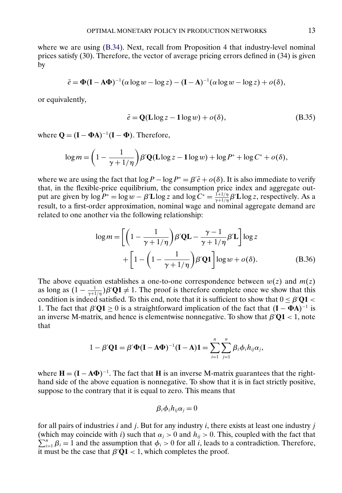<span id="page-12-0"></span>where we are using  $(B.34)$ . Next, recall from Proposition 4 that industry-level nominal prices satisfy (30). Therefore, the vector of average pricing errors defined in (34) is given by

$$
\bar{e} = \Phi(\mathbf{I} - \mathbf{A}\Phi)^{-1}(\alpha \log w - \log z) - (\mathbf{I} - \mathbf{A})^{-1}(\alpha \log w - \log z) + o(\delta),
$$

or equivalently,

$$
\bar{e} = \mathbf{Q}(\mathbf{L}\log z - 1\log w) + o(\delta),\tag{B.35}
$$

where  $Q = (I - \Phi A)^{-1}(I - \Phi)$ . Therefore,

$$
\log m = \left(1 - \frac{1}{\gamma + 1/\eta}\right) \beta' \mathbf{Q}(\mathbf{L} \log z - \mathbf{1} \log w) + \log P^* + \log C^* + o(\delta),
$$

where we are using the fact that  $\log P - \log P^* = \beta' \bar{e} + o(\delta)$ . It is also immediate to verify that, in the flexible-price equilibrium, the consumption price index and aggregate output are given by  $\log P^* = \log w - \beta' L \log z$  and  $\log C^* = \frac{1+1/\eta}{\gamma+1/\eta} \beta' L \log z$ , respectively. As a result, to a first-order approximation, nominal wage and nominal aggregate demand are related to one another via the following relationship:

$$
\log m = \left[ \left( 1 - \frac{1}{\gamma + 1/\eta} \right) \beta' \mathbf{QL} - \frac{\gamma - 1}{\gamma + 1/\eta} \beta' \mathbf{L} \right] \log z
$$
  
+ 
$$
\left[ 1 - \left( 1 - \frac{1}{\gamma + 1/\eta} \right) \beta' \mathbf{Q} \mathbf{1} \right] \log w + o(\delta).
$$
(B.36)

The above equation establishes a one-to-one correspondence between  $w(z)$  and  $m(z)$ as long as  $(1 - \frac{1}{\gamma + 1/\eta})\beta' Q_1 \neq 1$ . The proof is therefore complete once we show that this condition is indeed satisfied. To this end, note that it is sufficient to show that  $0 \leq \beta' Q1$ 1. The fact that  $\beta'Q1 \ge 0$  is a straightforward implication of the fact that  $(I - \Phi A)^{-1}$  is an inverse M-matrix, and hence is elementwise nonnegative. To show that  $\beta'Q1 < 1$ , note that

$$
1 - \beta' \mathbf{Q} \mathbf{1} = \beta' \mathbf{\Phi} (\mathbf{I} - \mathbf{A} \mathbf{\Phi})^{-1} (\mathbf{I} - \mathbf{A}) \mathbf{1} = \sum_{i=1}^{n} \sum_{j=1}^{n} \beta_i \phi_i h_{ij} \alpha_j,
$$

where  $H = (I - A\Phi)^{-1}$ . The fact that **H** is an inverse M-matrix guarantees that the righthand side of the above equation is nonnegative. To show that it is in fact strictly positive, suppose to the contrary that it is equal to zero. This means that

$$
\beta_i \phi_i h_{ij} \alpha_j = 0
$$

for all pairs of industries  $i$  and  $j$ . But for any industry  $i$ , there exists at least one industry  $j$ (which may coincide with i) such that  $\alpha_j > 0$  and  $h_{ij} > 0$ . This, coupled with the fact that  $\sum_{i=1}^{n} a_i$  and the assumption that  $f_{ij} > 0$  for all is loods to a contradiction. Therefore,  $\sum_{i=1}^{n} \beta_i = 1$  and the assumption that  $\phi_i > 0$  for all i, leads to a contradiction. Therefore, it must be the case that  $\beta'Q1 < 1$ , which completes the proof.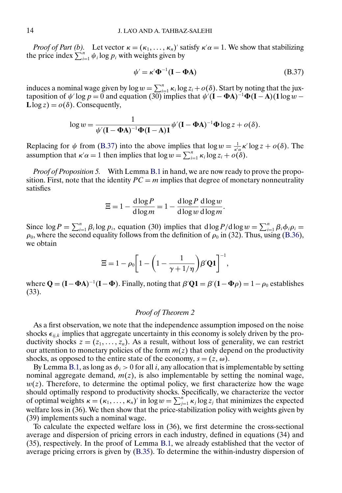<span id="page-13-0"></span>*Proof of Part (b).* Let vector  $\kappa = (\kappa_1, ..., \kappa_n)'$  satisfy  $\kappa' \alpha = 1$ . We show that stabilizing the price index  $\sum_{i=1}^{n} \psi_i \log p_i$  with weights given by

$$
\psi' = \kappa' \Phi^{-1} (\mathbf{I} - \Phi \mathbf{A}) \tag{B.37}
$$

induces a nominal wage given by  $\log w = \sum_{i=1}^n \kappa_i \log z_i + o(\delta)$ . Start by noting that the juxtaposition of  $\psi'$  log  $p = 0$  and equation (30) implies that  $\psi'(\mathbf{I} - \mathbf{\Phi} \mathbf{A})^{-1} \mathbf{\Phi} (\mathbf{I} - \mathbf{A}) (\mathbf{1} \log w - \mathbf{1} \log w)$  $\text{Llog } z$ ) =  $o(\delta)$ . Consequently,

$$
\log w = \frac{1}{\psi'(\mathbf{I} - \mathbf{\Phi} \mathbf{A})^{-1} \mathbf{\Phi} (\mathbf{I} - \mathbf{A}) \mathbf{1}} \psi'(\mathbf{I} - \mathbf{\Phi} \mathbf{A})^{-1} \mathbf{\Phi} \log z + o(\delta).
$$

Replacing for  $\psi$  from (B.37) into the above implies that  $\log w = \frac{1}{\kappa' \alpha} \kappa' \log z + o(\delta)$ . The assumption that  $\kappa' \alpha = 1$  then implies that  $\log w = \sum_{i=1}^{n} \kappa_i \log z_i + o(\delta)$ .

*Proof of Proposition 5.* With Lemma [B.1](#page-11-0) in hand, we are now ready to prove the proposition. First, note that the identity  $PC = m$  implies that degree of monetary nonneutrality satisfies

$$
\Xi = 1 - \frac{\mathrm{d}\log P}{\mathrm{d}\log m} = 1 - \frac{\mathrm{d}\log P}{\mathrm{d}\log w} \frac{\mathrm{d}\log w}{\mathrm{d}\log m}.
$$

Since  $\log P = \sum_{i=1}^{n} \beta_i \log p_i$ , equation (30) implies that  $d \log P / d \log w = \sum_{i=1}^{n} \beta_i \phi_i \rho_i =$  $\rho_0$ , where the second equality follows from the definition of  $\rho_0$  in (32). Thus, using [\(B.36\)](#page-12-0), we obtain

$$
\Xi = 1 - \rho_0 \left[ 1 - \left( 1 - \frac{1}{\gamma + 1/\eta} \right) \beta' \mathbf{Q} \mathbf{1} \right]^{-1},
$$

where  $Q = (I - \Phi A)^{-1}(I - \Phi)$ . Finally, noting that  $\beta'Q1 = \beta'(1 - \Phi \rho) = 1 - \rho_0$  establishes (33).

#### *Proof of Theorem 2*

As a first observation, we note that the independence assumption imposed on the noise shocks  $\epsilon_{ijk}$  implies that aggregate uncertainty in this economy is solely driven by the productivity shocks  $z = (z_1, \ldots, z_n)$ . As a result, without loss of generality, we can restrict our attention to monetary policies of the form  $m(z)$  that only depend on the productivity shocks, as opposed to the entire state of the economy,  $s = (z, \omega)$ .

By Lemma [B.1,](#page-11-0) as long as  $\phi_i > 0$  for all i, any allocation that is implementable by setting nominal aggregate demand,  $m(z)$ , is also implementable by setting the nominal wage,  $w(z)$ . Therefore, to determine the optimal policy, we first characterize how the wage should optimally respond to productivity shocks. Specifically, we characterize the vector of optimal weights  $\kappa = (\kappa_1, \ldots, \kappa_n)'$  in  $\log w = \sum_{j=1}^n \kappa_j \log z_j$  that minimizes the expected welfare loss in (36). We then show that the price-stabilization policy with weights given by (39) implements such a nominal wage.

To calculate the expected welfare loss in (36), we first determine the cross-sectional average and dispersion of pricing errors in each industry, defined in equations (34) and (35), respectively. In the proof of Lemma [B.1,](#page-11-0) we already established that the vector of average pricing errors is given by [\(B.35\)](#page-12-0). To determine the within-industry dispersion of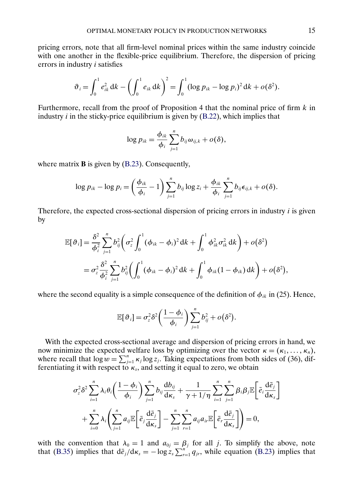pricing errors, note that all firm-level nominal prices within the same industry coincide with one another in the flexible-price equilibrium. Therefore, the dispersion of pricing errors in industry i satisfies

$$
\vartheta_i = \int_0^1 e_{ik}^2 \, dk - \left( \int_0^1 e_{ik} \, dk \right)^2 = \int_0^1 (\log p_{ik} - \log p_i)^2 \, dk + o(\delta^2).
$$

Furthermore, recall from the proof of Proposition 4 that the nominal price of firm  $k$  in industry  $i$  in the sticky-price equilibrium is given by [\(B.22\)](#page-7-0), which implies that

$$
\log p_{ik} = \frac{\phi_{ik}}{\phi_i} \sum_{j=1}^n b_{ij} \omega_{ij,k} + o(\delta),
$$

where matrix **B** is given by [\(B.23\)](#page-7-0). Consequently,

$$
\log p_{ik} - \log p_i = \left(\frac{\phi_{ik}}{\phi_i} - 1\right) \sum_{j=1}^n b_{ij} \log z_i + \frac{\phi_{ik}}{\phi_i} \sum_{j=1}^n b_{ij} \epsilon_{ij,k} + o(\delta).
$$

Therefore, the expected cross-sectional dispersion of pricing errors in industry i is given by

$$
\mathbb{E}[\vartheta_i] = \frac{\delta^2}{\phi_i^2} \sum_{j=1}^n b_{ij}^2 \bigg( \sigma_z^2 \int_0^1 (\phi_{ik} - \phi_i)^2 dk + \int_0^1 \phi_{ik}^2 \sigma_{ik}^2 dk \bigg) + o(\delta^2)
$$
  
=  $\sigma_z^2 \frac{\delta^2}{\phi_i^2} \sum_{j=1}^n b_{ij}^2 \bigg( \int_0^1 (\phi_{ik} - \phi_i)^2 dk + \int_0^1 \phi_{ik} (1 - \phi_{ik}) dk \bigg) + o(\delta^2),$ 

where the second equality is a simple consequence of the definition of  $\phi_{ik}$  in (25). Hence,

$$
\mathbb{E}[\vartheta_i] = \sigma_z^2 \delta^2 \left( \frac{1 - \phi_i}{\phi_i} \right) \sum_{j=1}^n b_{ij}^2 + o(\delta^2).
$$

With the expected cross-sectional average and dispersion of pricing errors in hand, we now minimize the expected welfare loss by optimizing over the vector  $\kappa = (\kappa_1, \dots, \kappa_n)$ , where recall that  $\log w = \sum_{j=1}^{n} \kappa_j \log z_j$ . Taking expectations from both sides of (36), differentiating it with respect to  $\kappa_s$ , and setting it equal to zero, we obtain

$$
\sigma_z^2 \delta^2 \sum_{i=1}^n \lambda_i \theta_i \left( \frac{1 - \phi_i}{\phi_i} \right) \sum_{j=1}^n b_{ij} \frac{d b_{ij}}{d \kappa_s} + \frac{1}{\gamma + 1/\eta} \sum_{i=1}^n \sum_{j=1}^n \beta_i \beta_j \mathbb{E} \left[ \bar{e}_i \frac{d \bar{e}_j}{d \kappa_s} \right] + \sum_{i=0}^n \lambda_i \left( \sum_{j=1}^n a_{ij} \mathbb{E} \left[ \bar{e}_j \frac{d \bar{e}_j}{d \kappa_s} \right] - \sum_{j=1}^n \sum_{r=1}^n a_{ij} a_{ir} \mathbb{E} \left[ \bar{e}_r \frac{d \bar{e}_j}{d \kappa_s} \right] \right) = 0,
$$

with the convention that  $\lambda_0 = 1$  and  $a_{0j} = \beta_j$  for all j. To simplify the above, note that [\(B.35\)](#page-12-0) implies that  $d\bar{e}_j/d\kappa_s = -\log z_s \sum_{r=1}^{n} q_{jr}$ , while equation [\(B.23\)](#page-7-0) implies that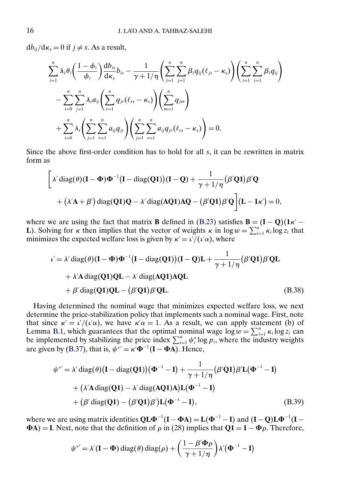<span id="page-15-0"></span> $db_{ij}/d\kappa_s = 0$  if  $j \neq s$ . As a result,

$$
\sum_{i=1}^{n} \lambda_{i} \theta_{i} \left( \frac{1 - \phi_{i}}{\phi_{i}} \right) \frac{d b_{is}}{d \kappa_{s}} b_{is} - \frac{1}{\gamma + 1/\eta} \left( \sum_{i=1}^{n} \sum_{j=1}^{n} \beta_{i} q_{ij} (\ell_{js} - \kappa_{s}) \right) \left( \sum_{i=1}^{n} \sum_{j=1}^{n} \beta_{i} q_{ij} \right) \n- \sum_{i=0}^{n} \sum_{j=1}^{n} \lambda_{i} a_{ij} \left( \sum_{r=1}^{n} q_{jr} (\ell_{rs} - \kappa_{s}) \right) \left( \sum_{m=1}^{n} q_{jm} \right) \n+ \sum_{i=0}^{n} \lambda_{i} \left( \sum_{j=1}^{n} \sum_{r=1}^{n} a_{ij} q_{jr} \right) \left( \sum_{j=1}^{n} \sum_{r=1}^{n} a_{ij} q_{jr} (\ell_{rs} - \kappa_{s}) \right) = 0.
$$

Since the above first-order condition has to hold for all  $s$ , it can be rewritten in matrix form as

$$
\left[\lambda' \operatorname{diag}(\theta)(\mathbf{I} - \Phi)\Phi^{-1}(\mathbf{I} - \operatorname{diag}(\mathbf{Q1}))(\mathbf{I} - \mathbf{Q}) + \frac{1}{\gamma + 1/\eta}(\beta' \mathbf{Q1})\beta'\mathbf{Q} + (\lambda'\mathbf{A} + \beta') \operatorname{diag}(\mathbf{Q1})\mathbf{Q} - \lambda' \operatorname{diag}(\mathbf{AQ1})\mathbf{AQ} - (\beta'\mathbf{Q1})\beta'\mathbf{Q}\right](\mathbf{L} - \mathbf{1}\kappa') = 0,
$$

where we are using the fact that matrix **B** defined in [\(B.23\)](#page-7-0) satisfies  $\mathbf{B} = (\mathbf{I} - \mathbf{Q})(\mathbf{1}\kappa' - \mathbf{I})$ **L**). Solving for *κ* then implies that the vector of weights *κ* in log  $w = \sum_{i=1}^{n} \kappa_i \log z_i$  that minimizes the expected welfare loss is given by  $\kappa' = \frac{\iota'}{(\iota' \alpha)}$ , where

$$
\iota' = \lambda' \operatorname{diag}(\theta)(\mathbf{I} - \Phi)\Phi^{-1}(\mathbf{I} - \operatorname{diag}(\mathbf{Q1}))( \mathbf{I} - \mathbf{Q})\mathbf{L} + \frac{1}{\gamma + 1/\eta} (\beta' \mathbf{Q1})\beta' \mathbf{QL}
$$
  
+  $\lambda' \mathbf{A} \operatorname{diag}(\mathbf{Q1})\mathbf{QL} - \lambda' \operatorname{diag}(\mathbf{AQ1})\mathbf{AQL}$   
+  $\beta' \operatorname{diag}(\mathbf{Q1})\mathbf{QL} - (\beta' \mathbf{Q1})\beta' \mathbf{QL}.$  (B.38)

Having determined the nominal wage that minimizes expected welfare loss, we next determine the price-stabilization policy that implements such a nominal wage. First, note that since  $\kappa' = \frac{\iota'}{(\iota' \alpha)}$ , we have  $\kappa' \alpha = 1$ . As a result, we can apply statement (b) of Lemma [B.1,](#page-11-0) which guarantees that the optimal nominal wage  $\log w = \sum_{i=1}^{n} \kappa_i \log z_i$  can be implemented by stabilizing the price index  $\sum_{i=1}^{n} \psi_i^* \log p_i$ , where the industry weights are given by [\(B.37\)](#page-13-0), that is,  $\psi^* = \kappa' \Phi^{-1} (\mathbf{I} - \Phi \mathbf{A})$ . Hence,

$$
\psi^{*'} = \lambda' \operatorname{diag}(\theta) \left( \mathbf{I} - \operatorname{diag}(\mathbf{Q1}) \right) \left( \Phi^{-1} - \mathbf{I} \right) + \frac{1}{\gamma + 1/\eta} \left( \beta' \mathbf{Q1} \right) \beta' \mathbf{L} \left( \Phi^{-1} - \mathbf{I} \right) + \left( \lambda' \mathbf{A} \operatorname{diag}(\mathbf{Q1}) - \lambda' \operatorname{diag}(\mathbf{AQ1}) \mathbf{A} \right) \mathbf{L} \left( \Phi^{-1} - \mathbf{I} \right) + \left( \beta' \operatorname{diag}(\mathbf{Q1}) - \left( \beta' \mathbf{Q1} \right) \beta' \right) \mathbf{L} \left( \Phi^{-1} - \mathbf{I} \right),
$$
 (B.39)

where we are using matrix identities  $QL\Phi^{-1}(I - \Phi A) = L(\Phi^{-1} - I)$  and  $(I - Q)L\Phi^{-1}(I \Phi$ A) = **I**. Next, note that the definition of  $\rho$  in (28) implies that  $Q$ **1** = **1** −  $\Phi$  $\rho$ . Therefore,

$$
\psi^{*'} = \lambda'(\mathbf{I} - \mathbf{\Phi}) \operatorname{diag}(\theta) \operatorname{diag}(\rho) + \left(\frac{1 - \beta' \mathbf{\Phi} \rho}{\gamma + 1/\eta}\right) \lambda'(\mathbf{\Phi}^{-1} - \mathbf{I})
$$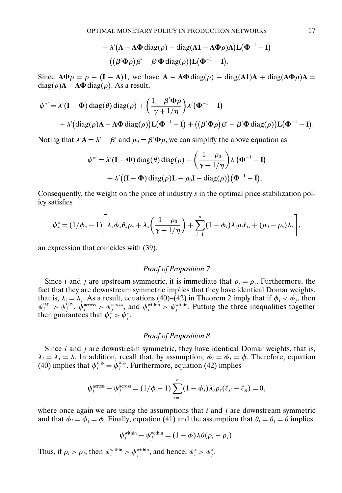+ 
$$
\lambda' (\mathbf{A} - \mathbf{A} \mathbf{\Phi} \operatorname{diag}(\rho) - \operatorname{diag}(\mathbf{A} \mathbf{1} - \mathbf{A} \mathbf{\Phi} \rho) \mathbf{A}) \mathbf{L} (\mathbf{\Phi}^{-1} - \mathbf{I})
$$
  
+  $((\beta' \mathbf{\Phi} \rho) \beta' - \beta' \mathbf{\Phi} \operatorname{diag}(\rho)) \mathbf{L} (\mathbf{\Phi}^{-1} - \mathbf{I}).$ 

Since  $\mathbf{A}\Phi\rho = \rho - (\mathbf{I} - \mathbf{A})\mathbf{1}$ , we have  $\mathbf{A} - \mathbf{A}\Phi \text{diag}(\rho) - \text{diag}(\mathbf{A}\mathbf{1})\mathbf{A} + \text{diag}(\mathbf{A}\Phi\rho)\mathbf{A} =$  $diag(\rho)$ **A** − **A** $\Phi$  diag( $\rho$ ). As a result,

$$
\psi^{*'} = \lambda'(\mathbf{I} - \Phi) \operatorname{diag}(\theta) \operatorname{diag}(\rho) + \left(\frac{1 - \beta' \Phi \rho}{\gamma + 1/\eta}\right) \lambda'(\Phi^{-1} - \mathbf{I})
$$
  
+ 
$$
\lambda'(\operatorname{diag}(\rho) \mathbf{A} - \mathbf{A} \Phi \operatorname{diag}(\rho)) \mathbf{L}(\Phi^{-1} - \mathbf{I}) + ((\beta' \Phi \rho) \beta' - \beta' \Phi \operatorname{diag}(\rho)) \mathbf{L}(\Phi^{-1} - \mathbf{I}).
$$

Noting that  $\lambda'$ **A** =  $\lambda'$  –  $\beta'$  and  $\rho_0 = \beta'$ **Φ** $\rho$ , we can simplify the above equation as

$$
\psi^{*'} = \lambda'(\mathbf{I} - \mathbf{\Phi}) \operatorname{diag}(\theta) \operatorname{diag}(\rho) + \left(\frac{1 - \rho_0}{\gamma + 1/\eta}\right) \lambda'(\mathbf{\Phi}^{-1} - \mathbf{I})
$$

$$
+ \lambda'((\mathbf{I} - \mathbf{\Phi}) \operatorname{diag}(\rho)\mathbf{L} + \rho_0 \mathbf{I} - \operatorname{diag}(\rho))(\mathbf{\Phi}^{-1} - \mathbf{I}).
$$

Consequently, the weight on the price of industry s in the optimal price-stabilization policy satisfies

$$
\psi_s^* = (1/\phi_s - 1) \Bigg[ \lambda_s \phi_s \theta_s \rho_s + \lambda_s \bigg( \frac{1 - \rho_0}{\gamma + 1/\eta} \bigg) + \sum_{i=1}^n (1 - \phi_i) \lambda_i \rho_i \ell_{is} + (\rho_0 - \rho_s) \lambda_s \Bigg],
$$

an expression that coincides with (39).

# *Proof of Proposition 7*

Since *i* and *j* are upstream symmetric, it is immediate that  $\rho_i = \rho_j$ . Furthermore, the fact that they are downstream symmetric implies that they have identical Domar weights, that is,  $\lambda_i = \lambda_j$ . As a result, equations (40)–(42) in Theorem 2 imply that if  $\phi_i < \phi_j$ , then  $\psi_i^{\text{o.g.}} > \psi_j^{\text{o.g.}}, \psi_i^{\text{across}} > \psi_j^{\text{across}}, \text{ and } \psi_i^{\text{within}} > \psi_j^{\text{within}}.$  Putting the three inequalities together then guarantees that  $\psi_i^* > \psi_j^*$ .

#### *Proof of Proposition 8*

Since  $i$  and  $j$  are downstream symmetric, they have identical Domar weights, that is,  $\lambda_i = \lambda_j = \lambda$ . In addition, recall that, by assumption,  $\phi_i = \phi_j = \phi$ . Therefore, equation (40) implies that  $\psi_i^{\text{o.g.}} = \psi_j^{\text{o.g.}}$ . Furthermore, equation (42) implies

$$
\psi_i^{\text{across}} - \psi_j^{\text{across}} = (1/\phi - 1) \sum_{s=1}^n (1 - \phi_s) \lambda_s \rho_s(\ell_{si} - \ell_{sj}) = 0,
$$

where once again we are using the assumptions that  $i$  and  $j$  are downstream symmetric and that  $\phi_i = \phi_j = \phi$ . Finally, equation (41) and the assumption that  $\theta_i = \theta_j = \theta$  implies

$$
\psi_i^{\text{within}} - \psi_j^{\text{within}} = (1 - \phi) \lambda \theta (\rho_i - \rho_j).
$$

Thus, if  $\rho_i > \rho_j$ , then  $\psi_i^{\text{within}} > \psi_j^{\text{within}}$ , and hence,  $\psi_i^* > \psi_j^*$ .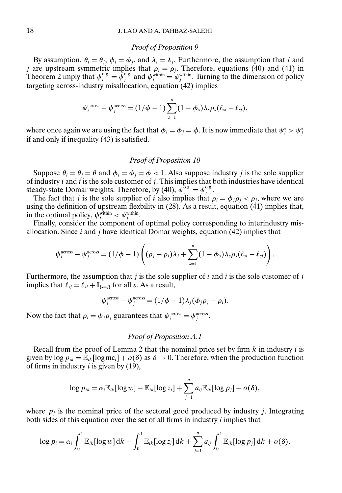#### *Proof of Proposition 9*

By assumption,  $\theta_i = \theta_j$ ,  $\phi_i = \phi_j$ , and  $\lambda_i = \lambda_j$ . Furthermore, the assumption that *i* and j are upstream symmetric implies that  $\rho_i = \rho_j$ . Therefore, equations (40) and (41) in Theorem 2 imply that  $\psi_i^{\text{o.g.}} = \hat{\psi}_j^{\text{o.g.}}$  and  $\psi_i^{\text{within}} = \psi_j^{\text{within}}$ . Turning to the dimension of policy targeting across-industry misallocation, equation (42) implies

$$
\psi_i^{\text{across}} - \psi_j^{\text{across}} = (1/\phi - 1) \sum_{s=1}^n (1 - \phi_s) \lambda_s \rho_s(\ell_{si} - \ell_{sj}),
$$

where once again we are using the fact that  $\phi_i = \phi_j = \phi$ . It is now immediate that  $\psi_i^* > \psi_j^*$ if and only if inequality (43) is satisfied.

### *Proof of Proposition 10*

Suppose  $\theta_i = \theta_j = \theta$  and  $\phi_i = \phi_j = \phi < 1$ . Also suppose industry j is the sole supplier of industry  $i$  and  $i$  is the sole customer of  $j$ . This implies that both industries have identical steady-state Domar weights. Therefore, by (40),  $\psi_i^{\delta,g} = \psi_j^{\delta,g}$ .

The fact that j is the sole supplier of i also implies that  $\rho_i = \phi_i \rho_j < \rho_j$ , where we are using the definition of upstream flexbility in (28). As a result, equation (41) implies that, in the optimal policy,  $\psi_i^{\text{within}} < \psi_j^{\text{within}}$ .

Finally, consider the component of optimal policy corresponding to interindustry misallocation. Since  $i$  and  $j$  have identical Domar weights, equation (42) implies that

$$
\psi_i^{\text{across}} - \psi_j^{\text{across}} = (1/\phi - 1) \left( (\rho_j - \rho_i) \lambda_j + \sum_{s=1}^n (1 - \phi_s) \lambda_s \rho_s (\ell_{si} - \ell_{sj}) \right).
$$

Furthermore, the assumption that j is the sole supplier of i and i is the sole customer of j implies that  $\ell_{sj} = \ell_{si} + \mathbb{I}_{\{s=j\}}$  for all s. As a result,

$$
\psi_i^{\text{across}} - \psi_j^{\text{across}} = (1/\phi - 1)\lambda_j(\phi_j \rho_j - \rho_i).
$$

Now the fact that  $\rho_i = \phi_j \rho_j$  guarantees that  $\psi_i^{\text{across}} = \psi_j^{\text{across}}$ .

### *Proof of Proposition A.1*

Recall from the proof of Lemma 2 that the nominal price set by firm  $k$  in industry  $i$  is given by  $\log p_{ik} = \mathbb{E}_{ik}[\log \mathbb{m}c_i] + o(\delta)$  as  $\delta \to 0$ . Therefore, when the production function of firms in industry  $i$  is given by (19),

$$
\log p_{ik} = \alpha_i \mathbb{E}_{ik} [\log w] - \mathbb{E}_{ik} [\log z_i] + \sum_{j=1}^n a_{ij} \mathbb{E}_{ik} [\log p_j] + o(\delta),
$$

where  $p_i$  is the nominal price of the sectoral good produced by industry j. Integrating both sides of this equation over the set of all firms in industry  $i$  implies that

$$
\log p_i = \alpha_i \int_0^1 \mathbb{E}_{ik} [\log w] \, \mathrm{d}k - \int_0^1 \mathbb{E}_{ik} [\log z_i] \, \mathrm{d}k + \sum_{j=1}^n a_{ij} \int_0^1 \mathbb{E}_{ik} [\log p_j] \, \mathrm{d}k + o(\delta).
$$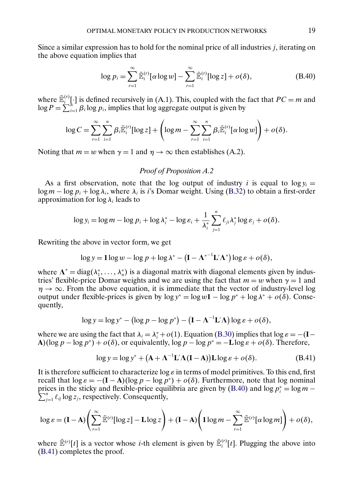Since a similar expression has to hold for the nominal price of all industries j, iterating on the above equation implies that

$$
\log p_i = \sum_{r=1}^{\infty} \bar{\mathbb{E}}_i^{(r)} [\alpha \log w] - \sum_{r=1}^{\infty} \bar{\mathbb{E}}_i^{(r)} [\log z] + o(\delta), \tag{B.40}
$$

where  $\mathbb{E}_{i}^{(r)}[\cdot]$  is defined recursively in (A.1). This, coupled with the fact that  $PC = m$  and  $\log P = \sum_{i=1}^{h} \beta_i \log p_i$ , implies that log aggregate output is given by

$$
\log C = \sum_{r=1}^{\infty} \sum_{i=1}^{n} \beta_i \bar{\mathbb{E}}_i^{(r)} [\log z] + \left( \log m - \sum_{r=1}^{\infty} \sum_{i=1}^{n} \beta_i \bar{\mathbb{E}}_i^{(r)} [\alpha \log w] \right) + o(\delta).
$$

Noting that  $m = w$  when  $\gamma = 1$  and  $\eta \rightarrow \infty$  then establishes (A.2).

### *Proof of Proposition A.2*

As a first observation, note that the log output of industry i is equal to  $\log y_i =$  $\log m - \log p_i + \log \lambda_i$ , where  $\lambda_i$  is i's Domar weight. Using [\(B.32\)](#page-10-0) to obtain a first-order approximation for  $\log \lambda_i$  leads to

$$
\log y_i = \log m - \log p_i + \log \lambda_i^* - \log \varepsilon_i + \frac{1}{\lambda_i^*} \sum_{j=1}^n \ell_{ji} \lambda_j^* \log \varepsilon_j + o(\delta).
$$

Rewriting the above in vector form, we get

$$
\log y = 1 \log w - \log p + \log \lambda^* - \left( \mathbf{I} - \Lambda^{*-1} \mathbf{L}' \Lambda^* \right) \log \varepsilon + o(\delta),
$$

where  $\Lambda^* = \text{diag}(\lambda_1^*, \dots, \lambda_n^*)$  is a diagonal matrix with diagonal elements given by industries' flexible-price Domar weights and we are using the fact that  $m = w$  when  $\gamma = 1$  and  $\eta \rightarrow \infty$ . From the above equation, it is immediate that the vector of industry-level log output under flexible-prices is given by  $\log y^* = \log w \mathbf{1} - \log p^* + \log \lambda^* + o(\delta)$ . Consequently,

$$
\log y = \log y^* - (\log p - \log p^*) - (I - \Lambda^{-1} L' \Lambda) \log \varepsilon + o(\delta),
$$

where we are using the fact that  $\lambda_i = \lambda_i^* + o(1)$ . Equation [\(B.30\)](#page-9-0) implies that  $\log \varepsilon = -(I -$ **A**)(log  $p - \log p^*$ ) +  $o(\delta)$ , or equivalently,  $\log p - \log p^* = -L \log \varepsilon + o(\delta)$ . Therefore,

$$
\log y = \log y^* + (\mathbf{A} + \mathbf{\Lambda}^{-1} \mathbf{L}' \mathbf{\Lambda} (\mathbf{I} - \mathbf{A})) \mathbf{L} \log \varepsilon + o(\delta). \tag{B.41}
$$

It is therefore sufficient to characterize  $\log \varepsilon$  in terms of model primitives. To this end, first recall that  $\log \varepsilon = -(\mathbf{I} - \mathbf{A})(\log p - \log p^*) + o(\delta)$ . Furthermore, note that  $\log$  nominal prices in the sticky and flexible-price equilibria are given by (B.40) and log  $p_i^* = \log m - \sum_{i=1}^{n} p_i^*$  $\sum_{j=1}^{n} \ell_{ij} \log z_j$ , respectively. Consequently,

$$
\log \varepsilon = (\mathbf{I} - \mathbf{A}) \left( \sum_{r=1}^{\infty} \bar{\mathbb{E}}^{(r)} [\log z] - \mathbf{L} \log z \right) + (\mathbf{I} - \mathbf{A}) \left( \mathbf{1} \log m - \sum_{r=1}^{\infty} \bar{\mathbb{E}}^{(r)} [\alpha \log m] \right) + o(\delta),
$$

where  $\bar{\mathbb{E}}^{(r)}[t]$  is a vector whose *i*-th element is given by  $\bar{\mathbb{E}}^{(r)}_i[t]$ . Plugging the above into (B.41) completes the proof.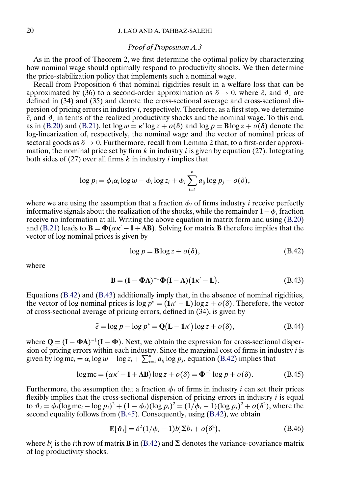#### *Proof of Proposition A.3*

<span id="page-19-0"></span>As in the proof of Theorem 2, we first determine the optimal policy by characterizing how nominal wage should optimally respond to productivity shocks. We then determine the price-stabilization policy that implements such a nominal wage.

Recall from Proposition 6 that nominal rigidities result in a welfare loss that can be approximated by (36) to a second-order approximation as  $\delta \to 0$ , where  $\bar{e}_i$  and  $\vartheta_i$  are defined in (34) and (35) and denote the cross-sectional average and cross-sectional dispersion of pricing errors in industry  $i$ , respectively. Therefore, as a first step, we determine  $\overline{e}_i$  and  $\vartheta_i$  in terms of the realized productivity shocks and the nominal wage. To this end, as in [\(B.20\)](#page-6-0) and [\(B.21\)](#page-6-0), let  $\log w = \kappa' \log z + o(\delta)$  and  $\log p = \mathbf{B} \log z + o(\delta)$  denote the log-linearization of, respectively, the nominal wage and the vector of nominal prices of sectoral goods as  $\delta \to 0$ . Furthermore, recall from Lemma 2 that, to a first-order approximation, the nominal price set by firm k in industry i is given by equation (27). Integrating both sides of  $(27)$  over all firms k in industry i implies that

$$
\log p_i = \phi_i \alpha_i \log w - \phi_i \log z_i + \phi_i \sum_{j=1}^n a_{ij} \log p_j + o(\delta),
$$

where we are using the assumption that a fraction  $\phi_i$  of firms industry *i* receive perfectly informative signals about the realization of the shocks, while the remainder  $1-\phi_i$  fraction receive no information at all. Writing the above equation in matrix form and using [\(B.20\)](#page-6-0) and [\(B.21\)](#page-6-0) leads to  $\mathbf{B} = \Phi(\alpha \kappa' - \mathbf{I} + \mathbf{A}\mathbf{B})$ . Solving for matrix **B** therefore implies that the vector of log nominal prices is given by

$$
\log p = \mathbf{B} \log z + o(\delta),\tag{B.42}
$$

where

$$
\mathbf{B} = (\mathbf{I} - \mathbf{\Phi} \mathbf{A})^{-1} \mathbf{\Phi} (\mathbf{I} - \mathbf{A}) (\mathbf{1}\kappa' - \mathbf{L}).
$$
 (B.43)

Equations (B.42) and (B.43) additionally imply that, in the absence of nominal rigidities, the vector of log nominal prices is  $\log p^* = (\mathbf{1} \kappa' - \mathbf{L}) \log z + o(\delta)$ . Therefore, the vector of cross-sectional average of pricing errors, defined in (34), is given by

$$
\bar{e} = \log p - \log p^* = \mathbf{Q}(\mathbf{L} - \mathbf{1}\kappa') \log z + o(\delta),\tag{B.44}
$$

where  $Q = (I - \Phi A)^{-1}(I - \Phi)$ . Next, we obtain the expression for cross-sectional dispersion of pricing errors within each industry. Since the marginal cost of firms in industry  $i$  is given by  $\log m c_i = \alpha_i \log w - \log z_i + \sum_{i=1}^n a_{ij} \log p_i$ , equation (B.42) implies that

$$
\log mc = (\alpha \kappa' - \mathbf{I} + \mathbf{AB}) \log z + o(\delta) = \Phi^{-1} \log p + o(\delta). \tag{B.45}
$$

Furthermore, the assumption that a fraction  $\phi_i$  of firms in industry i can set their prices flexibly implies that the cross-sectional dispersion of pricing errors in industry  $i$  is equal to  $\vartheta_i = \phi_i (\log m c_i - \log p_i)^2 + (1 - \phi_i)(\log p_i)^2 = (1/\phi_i - 1)(\log p_i)^2 + o(\delta^2)$ , where the second equality follows from (B.45). Consequently, using (B.42), we obtain

$$
\mathbb{E}[\vartheta_i] = \delta^2 (1/\phi_i - 1) b_i' \Sigma b_i + o(\delta^2), \tag{B.46}
$$

where  $b_i'$  is the *i*th row of matrix **B** in (B.42) and  $\Sigma$  denotes the variance-covariance matrix of log productivity shocks.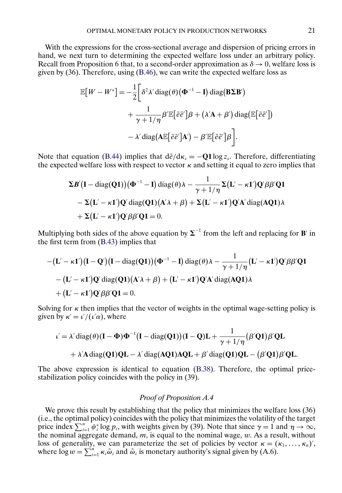With the expressions for the cross-sectional average and dispersion of pricing errors in hand, we next turn to determining the expected welfare loss under an arbitrary policy. Recall from Proposition 6 that, to a second-order approximation as  $\delta \to 0$ , welfare loss is given by (36). Therefore, using [\(B.46\)](#page-19-0), we can write the expected welfare loss as

$$
\mathbb{E}[W - W^*] = -\frac{1}{2} \bigg[ \delta^2 \lambda' \operatorname{diag}(\theta) (\Phi^{-1} - \mathbf{I}) \operatorname{diag}(\mathbf{B} \Sigma \mathbf{B}') \n+ \frac{1}{\gamma + 1/\eta} \beta' \mathbb{E} [\bar{e} \bar{e}'] \beta + (\lambda' \mathbf{A} + \beta') \operatorname{diag}(\mathbb{E} [\bar{e} \bar{e}']) \n- \lambda' \operatorname{diag}(\mathbf{A} \mathbb{E} [\bar{e} \bar{e}'] \mathbf{A}') - \beta' \mathbb{E} [\bar{e} \bar{e}] \beta \bigg].
$$

Note that equation [\(B.44\)](#page-19-0) implies that  $d\bar{e}/d\kappa_s = -Q1\log z_s$ . Therefore, differentiating the expected welfare loss with respect to vector  $\kappa$  and setting it equal to zero implies that

$$
\Sigma B'(\mathbf{I} - \text{diag}(\mathbf{Q1}))(\Phi^{-1} - \mathbf{I}) \text{ diag}(\theta) \lambda - \frac{1}{\gamma + 1/\eta} \Sigma(\mathbf{L}' - \kappa \mathbf{I}') \mathbf{Q}' \beta \beta' \mathbf{Q1} \n- \Sigma(\mathbf{L}' - \kappa \mathbf{I}') \mathbf{Q}' \text{ diag}(\mathbf{Q1})(\mathbf{A}' \lambda + \beta) + \Sigma(\mathbf{L}' - \kappa \mathbf{I}') \mathbf{Q}' \mathbf{A}' \text{ diag}(\mathbf{AQ1}) \lambda \n+ \Sigma(\mathbf{L}' - \kappa \mathbf{I}') \mathbf{Q}' \beta \beta' \mathbf{Q1} = 0.
$$

Multiplying both sides of the above equation by  $\Sigma^{-1}$  from the left and replacing for **B**' in the first term from [\(B.43\)](#page-19-0) implies that

$$
-(L' - \kappa 1')(I - Q')(I - diag(Q1))(\Phi^{-1} - I) diag(\theta)\lambda - \frac{1}{\gamma + 1/\eta}(L' - \kappa 1')Q'\beta\beta'Q1
$$
  
-(L' - \kappa 1')Q' diag(Q1)(A'\lambda + \beta) + (L' - \kappa 1')Q'A' diag(AQ1)\lambda  
+(L' - \kappa 1')Q'\beta\beta'Q1 = 0.

Solving for  $\kappa$  then implies that the vector of weights in the optimal wage-setting policy is given by  $\kappa' = \frac{\iota'}{(\iota'\alpha)}$ , where

$$
\iota' = \lambda' \operatorname{diag}(\theta)(\mathbf{I} - \Phi) \Phi^{-1} (\mathbf{I} - \operatorname{diag}(\mathbf{Q1})) (\mathbf{I} - \mathbf{Q}) \mathbf{L} + \frac{1}{\gamma + 1/\eta} (\beta' \mathbf{Q1}) \beta' \mathbf{Q} \mathbf{L}
$$
  
+  $\lambda' \mathbf{A} \operatorname{diag}(\mathbf{Q1}) \mathbf{Q} \mathbf{L} - \lambda' \operatorname{diag}(\mathbf{AQ1}) \mathbf{A} \mathbf{Q} \mathbf{L} + \beta' \operatorname{diag}(\mathbf{Q1}) \mathbf{Q} \mathbf{L} - (\beta' \mathbf{Q1}) \beta' \mathbf{Q} \mathbf{L}.$ 

The above expression is identical to equation [\(B.38\)](#page-15-0). Therefore, the optimal pricestabilization policy coincides with the policy in (39).

#### *Proof of Proposition A.4*

We prove this result by establishing that the policy that minimizes the welfare loss (36) (i.e., the optimal policy) coincides with the policy that minimizes the volatility of the target price index  $\sum_{i=1}^{n} \psi_i^* \log p_i$ , with weights given by (39). Note that since  $\gamma = 1$  and  $\eta \to \infty$ , the nominal aggregate demand,  $m$ , is equal to the nominal wage,  $w$ . As a result, without loss of generality, we can parameterize the set of policies by vector  $\kappa = (\kappa_1, ..., \kappa_n)'$ , where  $\log w = \sum_{i=1}^{n} \kappa_i \hat{\omega}_i$  and  $\hat{\omega}_i$  is monetary authority's signal given by (A.6).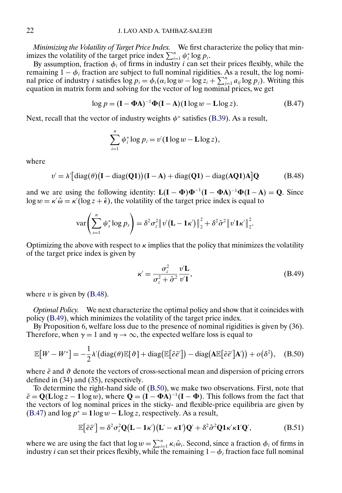<span id="page-21-0"></span>*Minimizing the Volatility of Target Price Index.* We first characterize the policy that minimizes the volatility of the target price index  $\sum_{i=1}^{n} \psi_i^* \log p_i$ .

By assumption, fraction  $\phi_i$  of firms in industry i can set their prices flexibly, while the remaining  $1 - \phi_i$  fraction are subject to full nominal rigidities. As a result, the log nominal price of industry *i* satisfies  $\log p_i = \phi_i(\alpha_i \log w - \log z_i + \sum_{j=1}^n a_{ij} \log p_j)$ . Writing this equation in matrix form and solving for the vector of log nominal prices, we get

$$
\log p = (\mathbf{I} - \mathbf{\Phi} \mathbf{A})^{-1} \mathbf{\Phi} (\mathbf{I} - \mathbf{A}) (\mathbf{1} \log w - \mathbf{L} \log z). \tag{B.47}
$$

Next, recall that the vector of industry weights  $\psi^*$  satisfies [\(B.39\)](#page-15-0). As a result,

$$
\sum_{i=1}^n \psi_i^* \log p_i = v'(\log w - \text{L} \log z),
$$

where

$$
v' = \lambda' \left[ \text{diag}(\theta) \left( \mathbf{I} - \text{diag}(\mathbf{Q1}) \right) \left( \mathbf{I} - \mathbf{A} \right) + \text{diag}(\mathbf{Q1}) - \text{diag}(\mathbf{AQ1}) \mathbf{A} \right] \mathbf{Q} \tag{B.48}
$$

and we are using the following identity:  $L(I - \Phi) \Phi^{-1} (I - \Phi A)^{-1} \Phi (I - A) = Q$ . Since  $\log w = \kappa' \hat{\omega} = \kappa' (\log z + \hat{\epsilon})$ , the volatility of the target price index is equal to

$$
\text{var}\left(\sum_{s=1}^n \psi_s^* \log p_s\right) = \delta^2 \sigma_z^2 \|\boldsymbol{v}' (\mathbf{L} - \mathbf{1}\boldsymbol{\kappa}')\|_2^2 + \delta^2 \hat{\sigma}^2 \|\boldsymbol{v}' \mathbf{1}\boldsymbol{\kappa}'\|_2^2.
$$

Optimizing the above with respect to  $\kappa$  implies that the policy that minimizes the volatility of the target price index is given by

$$
\kappa' = \frac{\sigma_z^2}{\sigma_z^2 + \hat{\sigma}^2} \frac{v' \mathbf{L}}{v' \mathbf{1}},\tag{B.49}
$$

where  $v$  is given by (B.48).

*Optimal Policy.* We next characterize the optimal policy and show that it coincides with policy (B.49), which minimizes the volatility of the target price index.

By Proposition 6, welfare loss due to the presence of nominal rigidities is given by (36). Therefore, when  $\gamma = 1$  and  $\eta \rightarrow \infty$ , the expected welfare loss is equal to

$$
\mathbb{E}[W - W^*] = -\frac{1}{2}\lambda' \left(\text{diag}(\theta)\mathbb{E}[\theta] + \text{diag}(\mathbb{E}[\bar{e}\bar{e}']) - \text{diag}(\mathbf{A}\mathbb{E}[\bar{e}\bar{e}']\mathbf{A}')\right) + o(\delta^2), \quad \text{(B.50)}
$$

where  $\bar{e}$  and  $\vartheta$  denote the vectors of cross-sectional mean and dispersion of pricing errors defined in (34) and (35), respectively.

To determine the right-hand side of (B.50), we make two observations. First, note that  $\bar{e} = \mathbf{Q}(\mathbf{L}\log z - \mathbf{1}\log w)$ , where  $\mathbf{Q} = (\mathbf{I} - \mathbf{\Phi}\mathbf{A})^{-1}(\mathbf{I} - \mathbf{\Phi})$ . This follows from the fact that the vectors of log nominal prices in the sticky- and flexible-price equilibria are given by (B.47) and  $\log p^* = 1 \log w - L \log z$ , respectively. As a result,

$$
\mathbb{E}\big[\bar{e}\bar{e}'\big] = \delta^2 \sigma_z^2 \mathbf{Q} (\mathbf{L} - \mathbf{1}\kappa') (\mathbf{L}' - \kappa \mathbf{1}') \mathbf{Q}' + \delta^2 \hat{\sigma}^2 \mathbf{Q} \mathbf{1}\kappa' \kappa \mathbf{1}' \mathbf{Q}',
$$
(B.51)

where we are using the fact that  $\log w = \sum_{i=1}^{n} \kappa_i \hat{\omega}_i$ . Second, since a fraction  $\phi_i$  of firms in industry *i* can set their prices flexibly, while the remaining  $1 - \phi_i$  fraction face full nominal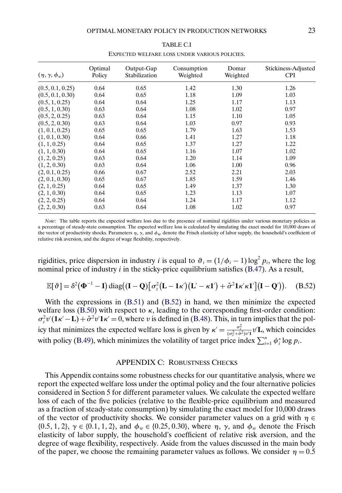<span id="page-22-0"></span>

| $(\eta, \gamma, \phi_w)$ | Optimal<br>Policy | Output-Gap<br>Stabilization | Consumption<br>Weighted | Domar<br>Weighted | Stickiness-Adjusted<br><b>CPI</b> |
|--------------------------|-------------------|-----------------------------|-------------------------|-------------------|-----------------------------------|
| (0.5, 0.1, 0.25)         | 0.64              | 0.65                        | 1.42                    | 1.30              | 1.26                              |
| (0.5, 0.1, 0.30)         | 0.64              | 0.65                        | 1.18                    | 1.09              | 1.03                              |
| (0.5, 1, 0.25)           | 0.64              | 0.64                        | 1.25                    | 1.17              | 1.13                              |
| (0.5, 1, 0.30)           | 0.63              | 0.64                        | 1.08                    | 1.02              | 0.97                              |
| (0.5, 2, 0.25)           | 0.63              | 0.64                        | 1.15                    | 1.10              | 1.05                              |
| (0.5, 2, 0.30)           | 0.63              | 0.64                        | 1.03                    | 0.97              | 0.93                              |
| (1, 0.1, 0.25)           | 0.65              | 0.65                        | 1.79                    | 1.63              | 1.53                              |
| (1, 0.1, 0.30)           | 0.64              | 0.66                        | 1.41                    | 1.27              | 1.18                              |
| (1, 1, 0.25)             | 0.64              | 0.65                        | 1.37                    | 1.27              | 1.22                              |
| (1, 1, 0.30)             | 0.64              | 0.65                        | 1.16                    | 1.07              | 1.02                              |
| (1, 2, 0.25)             | 0.63              | 0.64                        | 1.20                    | 1.14              | 1.09                              |
| (1, 2, 0.30)             | 0.63              | 0.64                        | 1.06                    | 1.00              | 0.96                              |
| (2, 0.1, 0.25)           | 0.66              | 0.67                        | 2.52                    | 2.21              | 2.03                              |
| (2, 0.1, 0.30)           | 0.65              | 0.67                        | 1.85                    | 1.59              | 1.46                              |
| (2, 1, 0.25)             | 0.64              | 0.65                        | 1.49                    | 1.37              | 1.30                              |
| (2, 1, 0.30)             | 0.64              | 0.65                        | 1.23                    | 1.13              | 1.07                              |
| (2, 2, 0.25)             | 0.64              | 0.64                        | 1.24                    | 1.17              | 1.12                              |
| (2, 2, 0.30)             | 0.63              | 0.64                        | 1.08                    | 1.02              | 0.97                              |

TABLE C.I EXPECTED WELFARE LOSS UNDER VARIOUS POLICIES.

*Note*: The table reports the expected welfare loss due to the presence of nominal rigidities under various monetary policies as a percentage of steady-state consumption. The expected welfare loss is calculated by simulating the exact model for 10,000 draws of the vector of productivity shocks. Parameters  $\eta$ ,  $\gamma$ , and  $\phi_w$  denote the Frisch elasticity of labor supply, the household's coefficient of relative risk aversion, and the degree of wage flexibility, respectively.

rigidities, price dispersion in industry *i* is equal to  $\vartheta_i = (1/\phi_i - 1) \log^2 p_i$ , where the log nominal price of industry  $i$  in the sticky-price equilibrium satisfies [\(B.47\)](#page-21-0). As a result,

$$
\mathbb{E}[\vartheta] = \delta^2(\Phi^{-1} - \mathbf{I}) \operatorname{diag}((\mathbf{I} - \mathbf{Q})[\sigma_z^2(\mathbf{L} - \mathbf{1}\kappa)(\mathbf{L}' - \kappa \mathbf{1}') + \hat{\sigma}^2 \mathbf{1}\kappa'\kappa \mathbf{1}'](\mathbf{I} - \mathbf{Q}')). \quad (B.52)
$$

With the expressions in [\(B.51\)](#page-21-0) and (B.52) in hand, we then minimize the expected welfare loss [\(B.50\)](#page-21-0) with respect to  $\kappa$ , leading to the corresponding first-order condition:  $\sigma_z^2 v'(1\kappa' - L) + \hat{\sigma}^2 v' 1\kappa' = 0$ , where v is defined in [\(B.48\)](#page-21-0). This, in turn implies that the policy that minimizes the expected welfare loss is given by  $\kappa' = \frac{\sigma_z^2}{(\sigma_z^2 + \hat{\sigma}^2)v'} \nu'$ **L**, which coincides with policy [\(B.49\)](#page-21-0), which minimizes the volatility of target price index  $\sum_{i=1}^{n} \psi_i^* \log p_i$ .

### APPENDIX C: ROBUSTNESS CHECKS

This Appendix contains some robustness checks for our quantitative analysis, where we report the expected welfare loss under the optimal policy and the four alternative policies considered in Section 5 for different parameter values. We calculate the expected welfare loss of each of the five policies (relative to the flexible-price equilibrium and measured as a fraction of steady-state consumption) by simulating the exact model for 10,000 draws of the vector of productivity shocks. We consider parameter values on a grid with  $\eta \in$ {0.5, 1, 2},  $\gamma \in \{0.1, 1, 2\}$ , and  $\phi_w \in \{0.25, 0.30\}$ , where  $\eta$ ,  $\gamma$ , and  $\phi_w$  denote the Frisch elasticity of labor supply, the household's coefficient of relative risk aversion, and the degree of wage flexibility, respectively. Aside from the values discussed in the main body of the paper, we choose the remaining parameter values as follows. We consider  $\eta = 0.5$